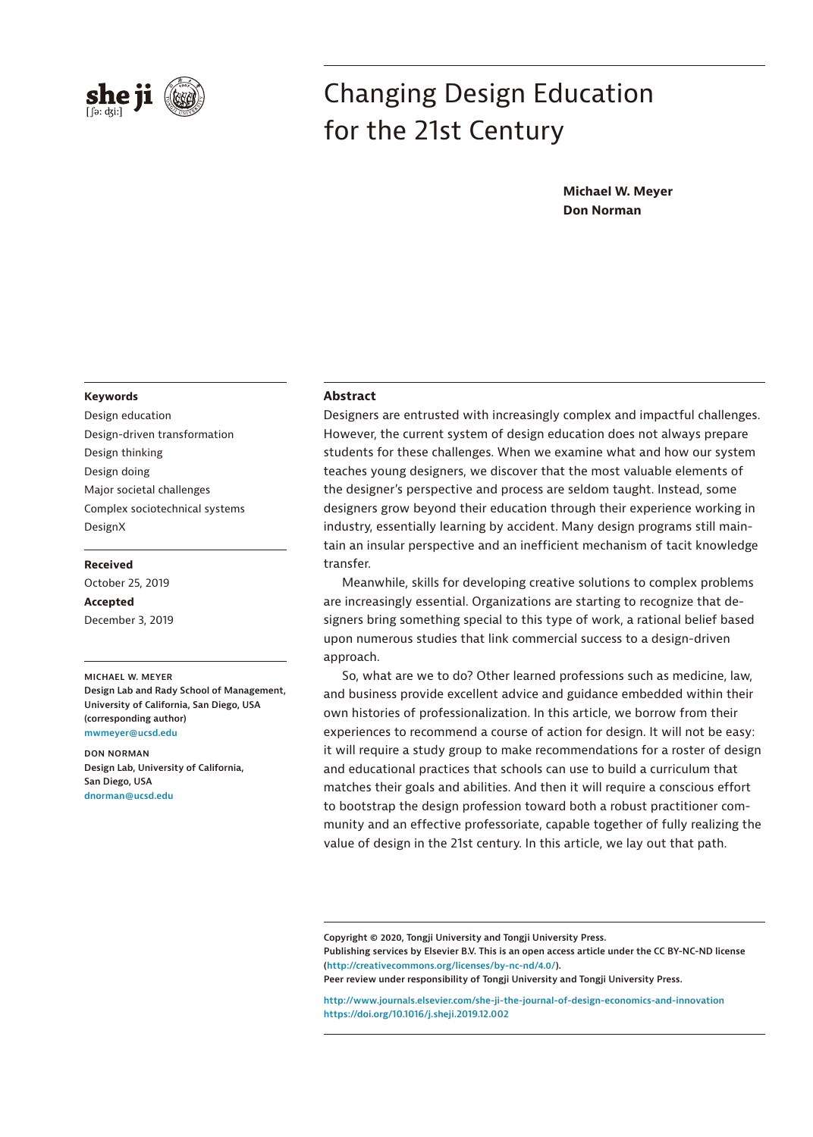

# Changing Design Education for the 21st Century

**Michael W. Meyer Don Norman**

#### **Keywords**

Design education Design-driven transformation Design thinking Design doing Major societal challenges Complex sociotechnical systems DesignX

#### **Received**

October 25, 2019 **Accepted** December 3, 2019

#### **MICHAEL W. MEYER**

**Design Lab and Rady School of Management, University of California, San Diego, USA (corresponding author) [mwmeyer@ucsd.edu](mailto:mwmeyer@ucsd.edu)**

**DON NORMAN Design Lab, University of California, San Diego, USA [dnorman@ucsd.edu](mailto:dnorman@ucsd.edu)**

#### **Abstract**

Designers are entrusted with increasingly complex and impactful challenges. However, the current system of design education does not always prepare students for these challenges. When we examine what and how our system teaches young designers, we discover that the most valuable elements of the designer's perspective and process are seldom taught. Instead, some designers grow beyond their education through their experience working in industry, essentially learning by accident. Many design programs still maintain an insular perspective and an inefficient mechanism of tacit knowledge transfer.

Meanwhile, skills for developing creative solutions to complex problems are increasingly essential. Organizations are starting to recognize that designers bring something special to this type of work, a rational belief based upon numerous studies that link commercial success to a design-driven approach.

So, what are we to do? Other learned professions such as medicine, law, and business provide excellent advice and guidance embedded within their own histories of professionalization. In this article, we borrow from their experiences to recommend a course of action for design. It will not be easy: it will require a study group to make recommendations for a roster of design and educational practices that schools can use to build a curriculum that matches their goals and abilities. And then it will require a conscious effort to bootstrap the design profession toward both a robust practitioner community and an effective professoriate, capable together of fully realizing the value of design in the 21st century. In this article, we lay out that path.

**Publishing services by Elsevier B.V. This is an open access article under the CC BY-NC-ND license [\(http://creativecommons.org/licenses/by-nc-nd/4.0/\)](http://creativecommons.org/licenses/by-nc-nd/4.0/).**

**Peer review under responsibility of Tongji University and Tongji University Press.**

**<http://www.journals.elsevier.com/she-ji-the-journal-of-design-economics-and-innovation> <https://doi.org/10.1016/j.sheji.2019.12.002>**

**Copyright © 2020, Tongji University and Tongji University Press.**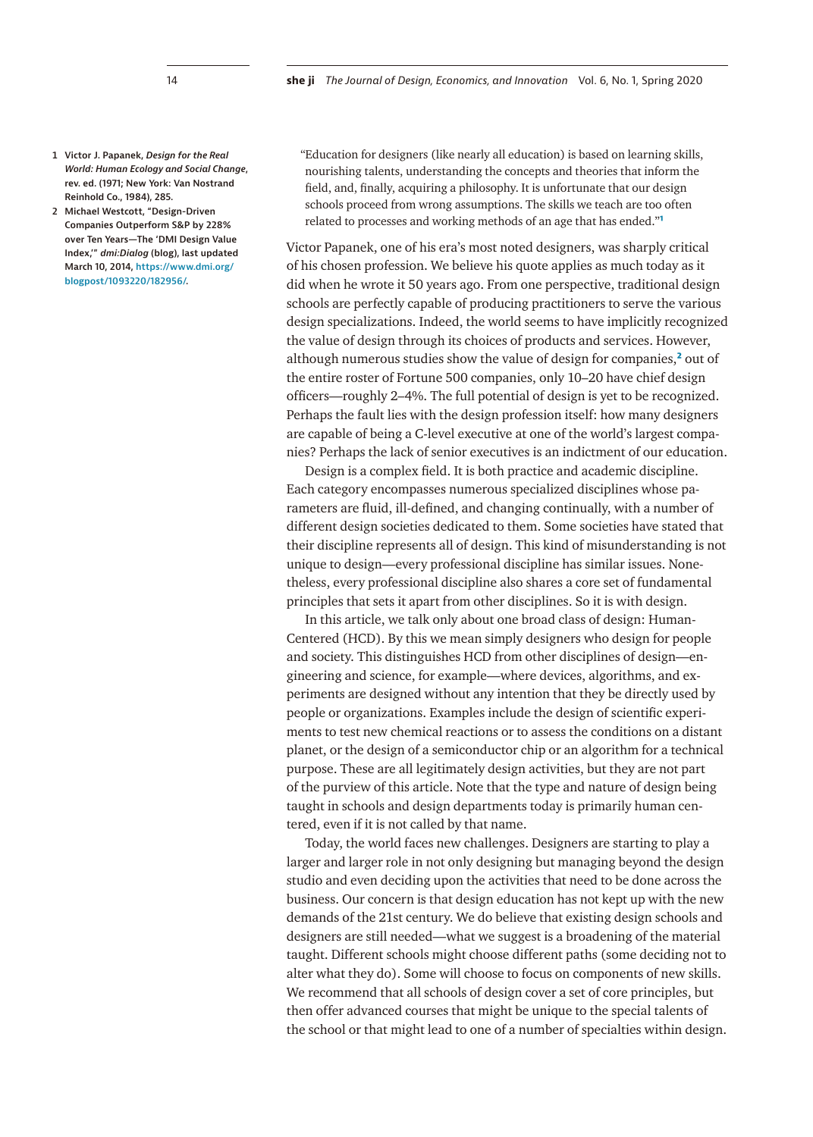- <span id="page-1-0"></span>**1 Victor J. Papanek,** *Design for the Real World: Human Ecology and Social Change***, rev. ed. (1971; New York: Van Nostrand Reinhold Co., 1984), 285.**
- <span id="page-1-1"></span>**2 Michael Westcott, "Design-Driven Companies Outperform S&P by 228% over Ten Years—The 'DMI Design Value Index,'"** *dmi:Dialog* **(blog), last updated March 10, 2014, [https://www.dmi.org/](https://www.dmi.org/blogpost/1093220/182956/) [blogpost/1093220/182956/.](https://www.dmi.org/blogpost/1093220/182956/)**
- "Education for designers (like nearly all education) is based on learning skills, nourishing talents, understanding the concepts and theories that inform the field, and, finally, acquiring a philosophy. It is unfortunate that our design schools proceed from wrong assumptions. The skills we teach are too often related to processes and working methods of an age that has ended."**[1](#page-1-0)**

Victor Papanek, one of his era's most noted designers, was sharply critical of his chosen profession. We believe his quote applies as much today as it did when he wrote it 50 years ago. From one perspective, traditional design schools are perfectly capable of producing practitioners to serve the various design specializations. Indeed, the world seems to have implicitly recognized the value of design through its choices of products and services. However, although numerous studies show the value of design for companies,**[2](#page-1-1)** out of the entire roster of Fortune 500 companies, only 10–20 have chief design officers—roughly 2–4%. The full potential of design is yet to be recognized. Perhaps the fault lies with the design profession itself: how many designers are capable of being a C-level executive at one of the world's largest companies? Perhaps the lack of senior executives is an indictment of our education.

Design is a complex field. It is both practice and academic discipline. Each category encompasses numerous specialized disciplines whose parameters are fluid, ill-defined, and changing continually, with a number of different design societies dedicated to them. Some societies have stated that their discipline represents all of design. This kind of misunderstanding is not unique to design—every professional discipline has similar issues. Nonetheless, every professional discipline also shares a core set of fundamental principles that sets it apart from other disciplines. So it is with design.

In this article, we talk only about one broad class of design: Human-Centered (HCD). By this we mean simply designers who design for people and society. This distinguishes HCD from other disciplines of design—engineering and science, for example—where devices, algorithms, and experiments are designed without any intention that they be directly used by people or organizations. Examples include the design of scientific experiments to test new chemical reactions or to assess the conditions on a distant planet, or the design of a semiconductor chip or an algorithm for a technical purpose. These are all legitimately design activities, but they are not part of the purview of this article. Note that the type and nature of design being taught in schools and design departments today is primarily human centered, even if it is not called by that name.

Today, the world faces new challenges. Designers are starting to play a larger and larger role in not only designing but managing beyond the design studio and even deciding upon the activities that need to be done across the business. Our concern is that design education has not kept up with the new demands of the 21st century. We do believe that existing design schools and designers are still needed—what we suggest is a broadening of the material taught. Different schools might choose different paths (some deciding not to alter what they do). Some will choose to focus on components of new skills. We recommend that all schools of design cover a set of core principles, but then offer advanced courses that might be unique to the special talents of the school or that might lead to one of a number of specialties within design.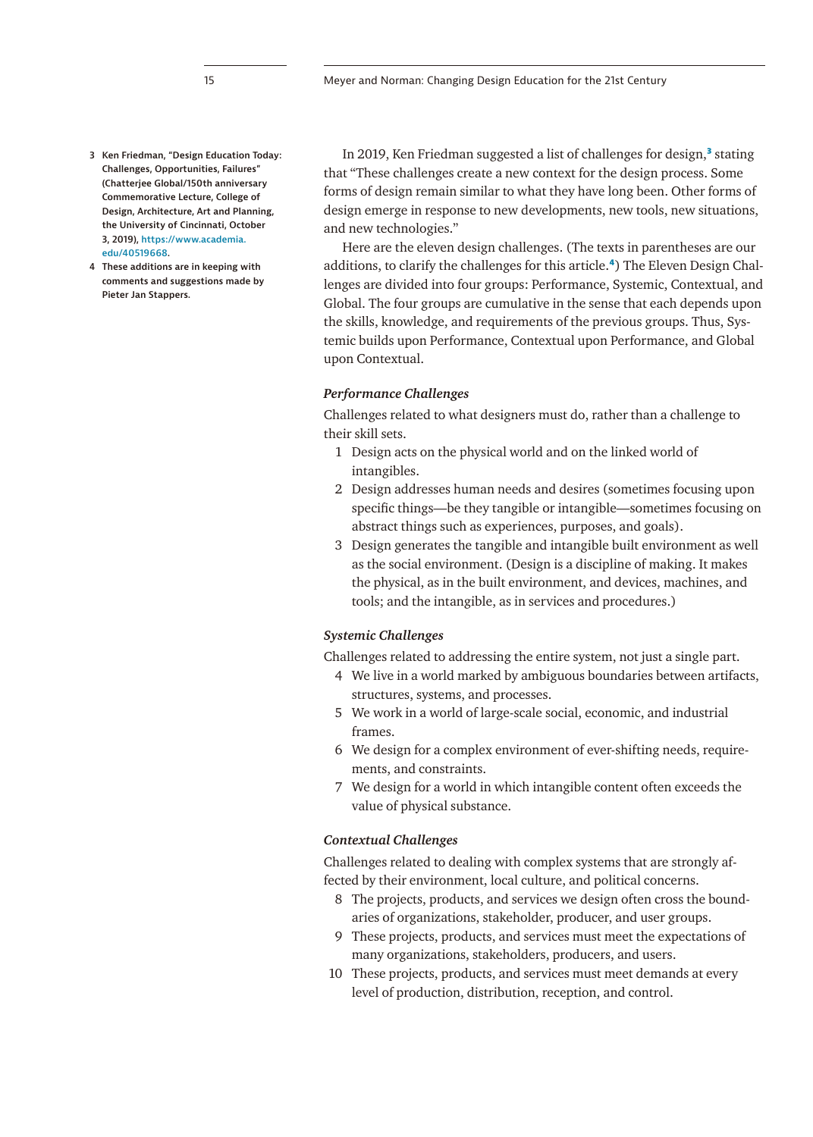- <span id="page-2-0"></span>**3 Ken Friedman, "Design Education Today: Challenges, Opportunities, Failures" (Chatterjee Global/150th anniversary Commemorative Lecture, College of Design, Architecture, Art and Planning, the University of Cincinnati, October 3, 2019), [https://www.academia.](https://www.academia.edu/40519668) [edu/40519668.](https://www.academia.edu/40519668)**
- <span id="page-2-1"></span>**4 These additions are in keeping with comments and suggestions made by Pieter Jan Stappers.**

In 2019, Ken Friedman suggested a list of challenges for design,**[3](#page-2-0)** stating that "These challenges create a new context for the design process. Some forms of design remain similar to what they have long been. Other forms of design emerge in response to new developments, new tools, new situations, and new technologies."

Here are the eleven design challenges. (The texts in parentheses are our additions, to clarify the challenges for this article.**[4](#page-2-1)**) The Eleven Design Challenges are divided into four groups: Performance, Systemic, Contextual, and Global. The four groups are cumulative in the sense that each depends upon the skills, knowledge, and requirements of the previous groups. Thus, Systemic builds upon Performance, Contextual upon Performance, and Global upon Contextual.

#### *Performance Challenges*

Challenges related to what designers must do, rather than a challenge to their skill sets.

- 1 Design acts on the physical world and on the linked world of intangibles.
- 2 Design addresses human needs and desires (sometimes focusing upon specific things—be they tangible or intangible—sometimes focusing on abstract things such as experiences, purposes, and goals).
- 3 Design generates the tangible and intangible built environment as well as the social environment. (Design is a discipline of making. It makes the physical, as in the built environment, and devices, machines, and tools; and the intangible, as in services and procedures.)

## *Systemic Challenges*

Challenges related to addressing the entire system, not just a single part.

- 4 We live in a world marked by ambiguous boundaries between artifacts, structures, systems, and processes.
- 5 We work in a world of large-scale social, economic, and industrial frames.
- 6 We design for a complex environment of ever-shifting needs, requirements, and constraints.
- 7 We design for a world in which intangible content often exceeds the value of physical substance.

## *Contextual Challenges*

Challenges related to dealing with complex systems that are strongly affected by their environment, local culture, and political concerns.

- 8 The projects, products, and services we design often cross the boundaries of organizations, stakeholder, producer, and user groups.
- 9 These projects, products, and services must meet the expectations of many organizations, stakeholders, producers, and users.
- 10 These projects, products, and services must meet demands at every level of production, distribution, reception, and control.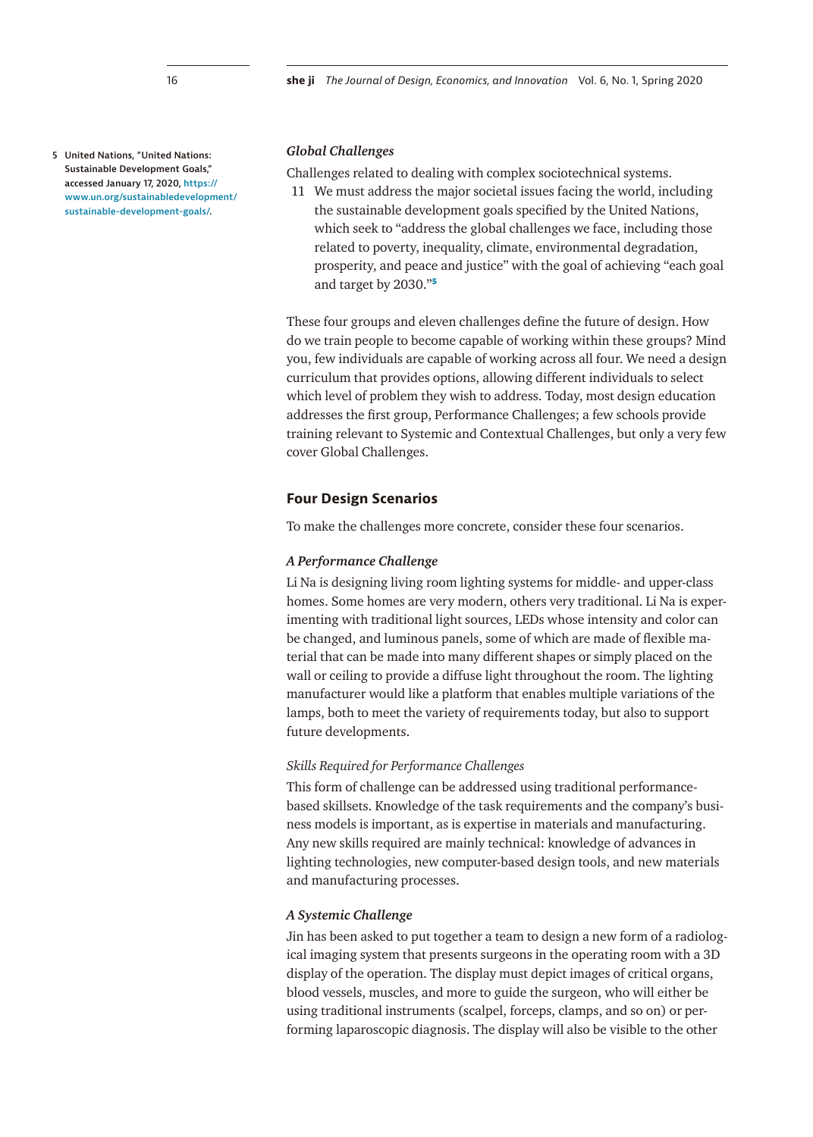<span id="page-3-0"></span>**5 United Nations, "United Nations: Sustainable Development Goals," accessed January 17, 2020, [https://](https://www.un.org/sustainabledevelopment/sustainable-development-goals/) [www.un.org/sustainabledevelopment/](https://www.un.org/sustainabledevelopment/sustainable-development-goals/) [sustainable-development-goals/](https://www.un.org/sustainabledevelopment/sustainable-development-goals/).**

## *Global Challenges*

Challenges related to dealing with complex sociotechnical systems.

11 We must address the major societal issues facing the world, including the sustainable development goals specified by the United Nations, which seek to "address the global challenges we face, including those related to poverty, inequality, climate, environmental degradation, prosperity, and peace and justice" with the goal of achieving "each goal and target by 2030."**[5](#page-3-0)**

These four groups and eleven challenges define the future of design. How do we train people to become capable of working within these groups? Mind you, few individuals are capable of working across all four. We need a design curriculum that provides options, allowing different individuals to select which level of problem they wish to address. Today, most design education addresses the first group, Performance Challenges; a few schools provide training relevant to Systemic and Contextual Challenges, but only a very few cover Global Challenges.

#### **Four Design Scenarios**

To make the challenges more concrete, consider these four scenarios.

#### *A Performance Challenge*

Li Na is designing living room lighting systems for middle- and upper-class homes. Some homes are very modern, others very traditional. Li Na is experimenting with traditional light sources, LEDs whose intensity and color can be changed, and luminous panels, some of which are made of flexible material that can be made into many different shapes or simply placed on the wall or ceiling to provide a diffuse light throughout the room. The lighting manufacturer would like a platform that enables multiple variations of the lamps, both to meet the variety of requirements today, but also to support future developments.

#### *Skills Required for Performance Challenges*

This form of challenge can be addressed using traditional performancebased skillsets. Knowledge of the task requirements and the company's business models is important, as is expertise in materials and manufacturing. Any new skills required are mainly technical: knowledge of advances in lighting technologies, new computer-based design tools, and new materials and manufacturing processes.

#### *A Systemic Challenge*

Jin has been asked to put together a team to design a new form of a radiological imaging system that presents surgeons in the operating room with a 3D display of the operation. The display must depict images of critical organs, blood vessels, muscles, and more to guide the surgeon, who will either be using traditional instruments (scalpel, forceps, clamps, and so on) or performing laparoscopic diagnosis. The display will also be visible to the other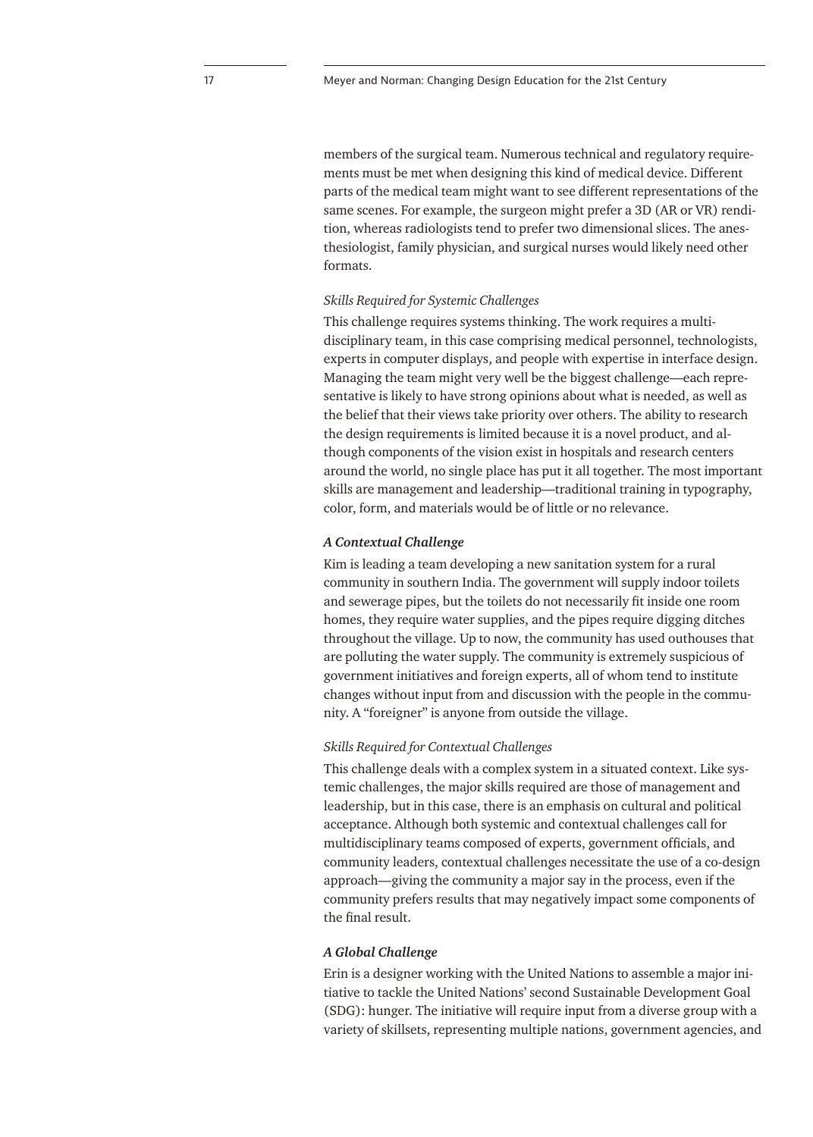members of the surgical team. Numerous technical and regulatory requirements must be met when designing this kind of medical device. Different parts of the medical team might want to see different representations of the same scenes. For example, the surgeon might prefer a 3D (AR or VR) rendition, whereas radiologists tend to prefer two dimensional slices. The anesthesiologist, family physician, and surgical nurses would likely need other formats.

#### *Skills Required for Systemic Challenges*

This challenge requires systems thinking. The work requires a multidisciplinary team, in this case comprising medical personnel, technologists, experts in computer displays, and people with expertise in interface design. Managing the team might very well be the biggest challenge—each representative is likely to have strong opinions about what is needed, as well as the belief that their views take priority over others. The ability to research the design requirements is limited because it is a novel product, and although components of the vision exist in hospitals and research centers around the world, no single place has put it all together. The most important skills are management and leadership—traditional training in typography, color, form, and materials would be of little or no relevance.

#### *A Contextual Challenge*

Kim is leading a team developing a new sanitation system for a rural community in southern India. The government will supply indoor toilets and sewerage pipes, but the toilets do not necessarily fit inside one room homes, they require water supplies, and the pipes require digging ditches throughout the village. Up to now, the community has used outhouses that are polluting the water supply. The community is extremely suspicious of government initiatives and foreign experts, all of whom tend to institute changes without input from and discussion with the people in the community. A "foreigner" is anyone from outside the village.

#### *Skills Required for Contextual Challenges*

This challenge deals with a complex system in a situated context. Like systemic challenges, the major skills required are those of management and leadership, but in this case, there is an emphasis on cultural and political acceptance. Although both systemic and contextual challenges call for multidisciplinary teams composed of experts, government officials, and community leaders, contextual challenges necessitate the use of a co-design approach—giving the community a major say in the process, even if the community prefers results that may negatively impact some components of the final result.

## *A Global Challenge*

Erin is a designer working with the United Nations to assemble a major initiative to tackle the United Nations' second Sustainable Development Goal (SDG): hunger. The initiative will require input from a diverse group with a variety of skillsets, representing multiple nations, government agencies, and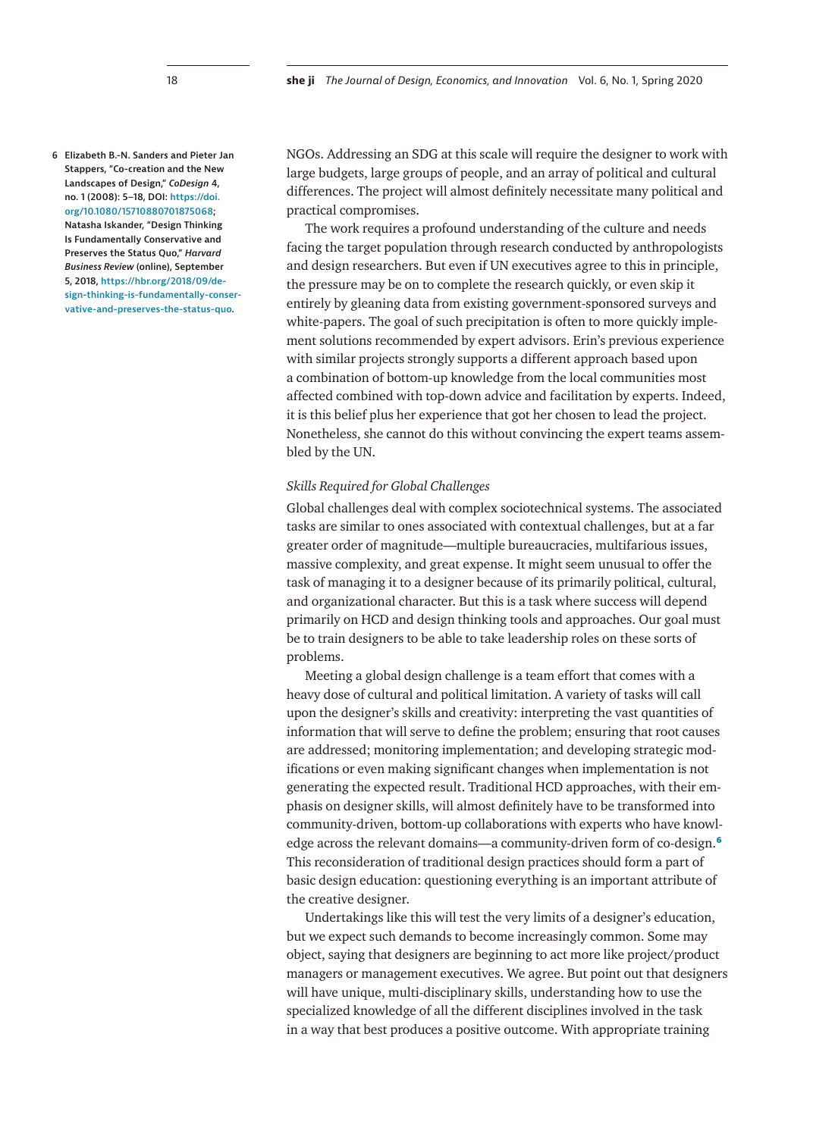<span id="page-5-0"></span>**6 Elizabeth B.-N. Sanders and Pieter Jan Stappers, "Co-creation and the New Landscapes of Design,"** *CoDesign* **4, no. 1 (2008): 5–18, DOI: [https://doi.](https://doi.org/10.1080/15710880701875068) [org/10.1080/15710880701875068;](https://doi.org/10.1080/15710880701875068) Natasha Iskander, "Design Thinking Is Fundamentally Conservative and Preserves the Status Quo,"** *Harvard Business Review* **(online), September 5, 2018, [https://hbr.org/2018/09/de](https://hbr.org/2018/09/design-thinking-is-fundamentally-conservative-and-preserves-the-status-quo)[sign-thinking-is-fundamentally-conser](https://hbr.org/2018/09/design-thinking-is-fundamentally-conservative-and-preserves-the-status-quo)[vative-and-preserves-the-status-quo.](https://hbr.org/2018/09/design-thinking-is-fundamentally-conservative-and-preserves-the-status-quo)**

NGOs. Addressing an SDG at this scale will require the designer to work with large budgets, large groups of people, and an array of political and cultural differences. The project will almost definitely necessitate many political and practical compromises.

The work requires a profound understanding of the culture and needs facing the target population through research conducted by anthropologists and design researchers. But even if UN executives agree to this in principle, the pressure may be on to complete the research quickly, or even skip it entirely by gleaning data from existing government-sponsored surveys and white-papers. The goal of such precipitation is often to more quickly implement solutions recommended by expert advisors. Erin's previous experience with similar projects strongly supports a different approach based upon a combination of bottom-up knowledge from the local communities most affected combined with top-down advice and facilitation by experts. Indeed, it is this belief plus her experience that got her chosen to lead the project. Nonetheless, she cannot do this without convincing the expert teams assembled by the UN.

#### *Skills Required for Global Challenges*

Global challenges deal with complex sociotechnical systems. The associated tasks are similar to ones associated with contextual challenges, but at a far greater order of magnitude—multiple bureaucracies, multifarious issues, massive complexity, and great expense. It might seem unusual to offer the task of managing it to a designer because of its primarily political, cultural, and organizational character. But this is a task where success will depend primarily on HCD and design thinking tools and approaches. Our goal must be to train designers to be able to take leadership roles on these sorts of problems.

Meeting a global design challenge is a team effort that comes with a heavy dose of cultural and political limitation. A variety of tasks will call upon the designer's skills and creativity: interpreting the vast quantities of information that will serve to define the problem; ensuring that root causes are addressed; monitoring implementation; and developing strategic modifications or even making significant changes when implementation is not generating the expected result. Traditional HCD approaches, with their emphasis on designer skills, will almost definitely have to be transformed into community-driven, bottom-up collaborations with experts who have knowledge across the relevant domains—a community-driven form of co-design.**[6](#page-5-0)** This reconsideration of traditional design practices should form a part of basic design education: questioning everything is an important attribute of the creative designer.

Undertakings like this will test the very limits of a designer's education, but we expect such demands to become increasingly common. Some may object, saying that designers are beginning to act more like project/product managers or management executives. We agree. But point out that designers will have unique, multi-disciplinary skills, understanding how to use the specialized knowledge of all the different disciplines involved in the task in a way that best produces a positive outcome. With appropriate training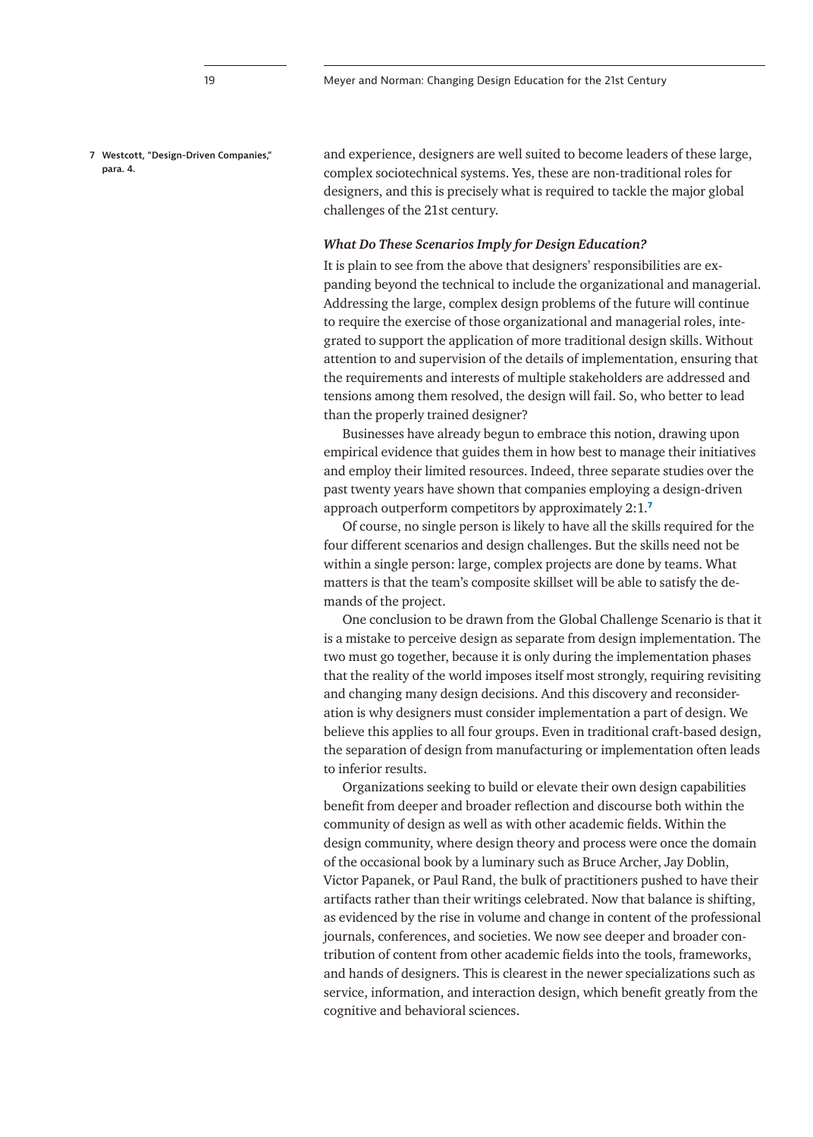<span id="page-6-0"></span>**7 Westcott, "Design-Driven Companies," para. 4.**

and experience, designers are well suited to become leaders of these large, complex sociotechnical systems. Yes, these are non-traditional roles for designers, and this is precisely what is required to tackle the major global challenges of the 21st century.

# *What Do These Scenarios Imply for Design Education?*

It is plain to see from the above that designers' responsibilities are expanding beyond the technical to include the organizational and managerial. Addressing the large, complex design problems of the future will continue to require the exercise of those organizational and managerial roles, integrated to support the application of more traditional design skills. Without attention to and supervision of the details of implementation, ensuring that the requirements and interests of multiple stakeholders are addressed and tensions among them resolved, the design will fail. So, who better to lead than the properly trained designer?

Businesses have already begun to embrace this notion, drawing upon empirical evidence that guides them in how best to manage their initiatives and employ their limited resources. Indeed, three separate studies over the past twenty years have shown that companies employing a design-driven approach outperform competitors by approximately 2:1.**[7](#page-6-0)**

Of course, no single person is likely to have all the skills required for the four different scenarios and design challenges. But the skills need not be within a single person: large, complex projects are done by teams. What matters is that the team's composite skillset will be able to satisfy the demands of the project.

One conclusion to be drawn from the Global Challenge Scenario is that it is a mistake to perceive design as separate from design implementation. The two must go together, because it is only during the implementation phases that the reality of the world imposes itself most strongly, requiring revisiting and changing many design decisions. And this discovery and reconsideration is why designers must consider implementation a part of design. We believe this applies to all four groups. Even in traditional craft-based design, the separation of design from manufacturing or implementation often leads to inferior results.

Organizations seeking to build or elevate their own design capabilities benefit from deeper and broader reflection and discourse both within the community of design as well as with other academic fields. Within the design community, where design theory and process were once the domain of the occasional book by a luminary such as Bruce Archer, Jay Doblin, Victor Papanek, or Paul Rand, the bulk of practitioners pushed to have their artifacts rather than their writings celebrated. Now that balance is shifting, as evidenced by the rise in volume and change in content of the professional journals, conferences, and societies. We now see deeper and broader contribution of content from other academic fields into the tools, frameworks, and hands of designers. This is clearest in the newer specializations such as service, information, and interaction design, which benefit greatly from the cognitive and behavioral sciences.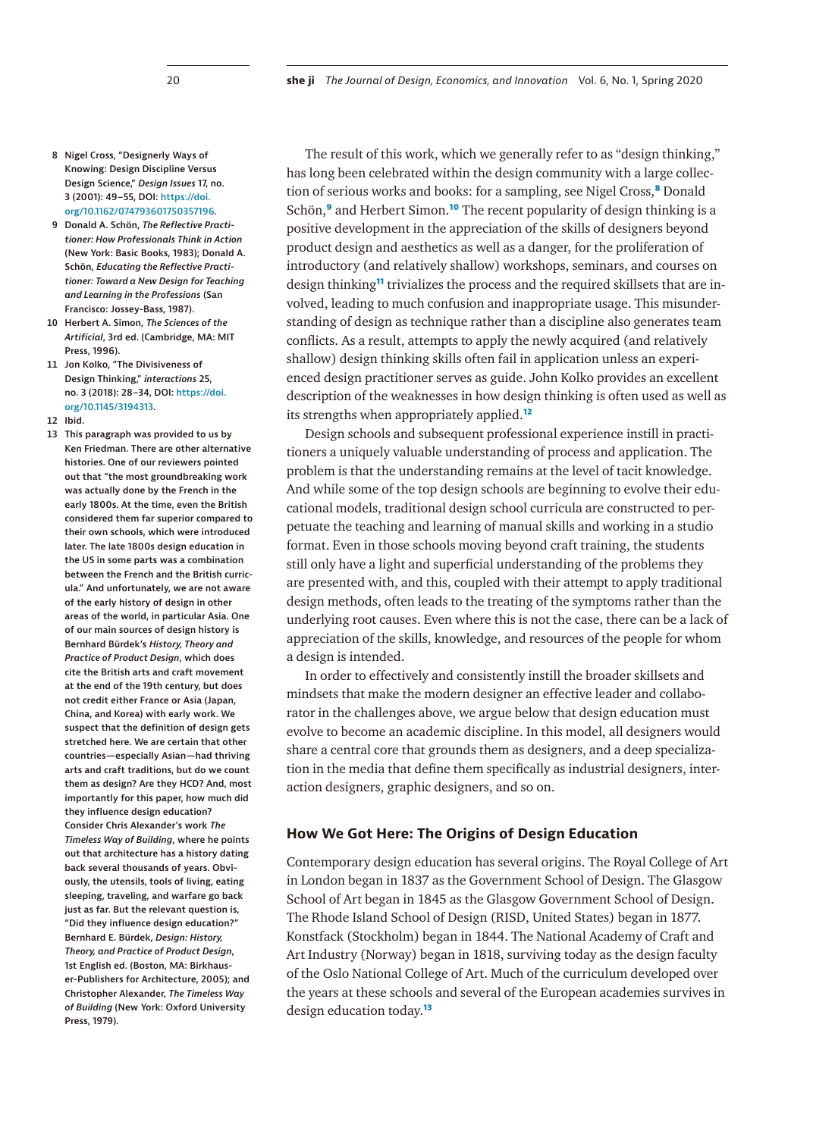- <span id="page-7-0"></span>**8 Nigel Cross, "Designerly Ways of Knowing: Design Discipline Versus Design Science,"** *Design Issues* **17, no. 3 (2001): 49–55, DOI: [https://doi.](https://doi.org/10.1162/074793601750357196) [org/10.1162/074793601750357196](https://doi.org/10.1162/074793601750357196).**
- <span id="page-7-1"></span>**9 Donald A. Schön,** *The Reflective Practitioner: How Professionals Think in Action* **(New York: Basic Books, 1983); Donald A. Schön,** *Educating the Reflective Practitioner: Toward a New Design for Teaching and Learning in the Professions* **(San Francisco: Jossey-Bass, 1987).**
- <span id="page-7-2"></span>**10 Herbert A. Simon,** *The Sciences of the Artificial***, 3rd ed. (Cambridge, MA: MIT Press, 1996).**
- <span id="page-7-3"></span>**11 Jon Kolko, "The Divisiveness of Design Thinking,"** *interactions* **25, no. 3 (2018): 28–34, DOI: [https://doi.](https://doi.org/10.1145/3194313) [org/10.1145/3194313.](https://doi.org/10.1145/3194313)**
- <span id="page-7-4"></span>**12 Ibid.**
- <span id="page-7-5"></span>**13 This paragraph was provided to us by Ken Friedman. There are other alternative histories. One of our reviewers pointed out that "the most groundbreaking work was actually done by the French in the early 1800s. At the time, even the British considered them far superior compared to their own schools, which were introduced later. The late 1800s design education in the US in some parts was a combination between the French and the British curricula." And unfortunately, we are not aware of the early history of design in other areas of the world, in particular Asia. One of our main sources of design history is Bernhard Bürdek's** *History, Theory and Practice of Product Design***, which does cite the British arts and craft movement at the end of the 19th century, but does not credit either France or Asia (Japan, China, and Korea) with early work. We suspect that the definition of design gets stretched here. We are certain that other countries—especially Asian—had thriving arts and craft traditions, but do we count them as design? Are they HCD? And, most importantly for this paper, how much did they influence design education? Consider Chris Alexander's work** *The Timeless Way of Building***, where he points out that architecture has a history dating back several thousands of years. Obviously, the utensils, tools of living, eating sleeping, traveling, and warfare go back just as far. But the relevant question is, "Did they influence design education?" Bernhard E. Bürdek,** *Design: History, Theory, and Practice of Product Design***, 1st English ed. (Boston, MA: Birkhauser-Publishers for Architecture, 2005); and Christopher Alexander,** *The Timeless Way of Building* **(New York: Oxford University Press, 1979).**

The result of this work, which we generally refer to as "design thinking," has long been celebrated within the design community with a large collection of serious works and books: for a sampling, see Nigel Cross,**[8](#page-7-0)** Donald Schön,**[9](#page-7-1)** and Herbert Simon.**[10](#page-7-2)** The recent popularity of design thinking is a positive development in the appreciation of the skills of designers beyond product design and aesthetics as well as a danger, for the proliferation of introductory (and relatively shallow) workshops, seminars, and courses on design thinking**[11](#page-7-3)** trivializes the process and the required skillsets that are involved, leading to much confusion and inappropriate usage. This misunderstanding of design as technique rather than a discipline also generates team conflicts. As a result, attempts to apply the newly acquired (and relatively shallow) design thinking skills often fail in application unless an experienced design practitioner serves as guide. John Kolko provides an excellent description of the weaknesses in how design thinking is often used as well as its strengths when appropriately applied.**[12](#page-7-4)**

Design schools and subsequent professional experience instill in practitioners a uniquely valuable understanding of process and application. The problem is that the understanding remains at the level of tacit knowledge. And while some of the top design schools are beginning to evolve their educational models, traditional design school curricula are constructed to perpetuate the teaching and learning of manual skills and working in a studio format. Even in those schools moving beyond craft training, the students still only have a light and superficial understanding of the problems they are presented with, and this, coupled with their attempt to apply traditional design methods, often leads to the treating of the symptoms rather than the underlying root causes. Even where this is not the case, there can be a lack of appreciation of the skills, knowledge, and resources of the people for whom a design is intended.

In order to effectively and consistently instill the broader skillsets and mindsets that make the modern designer an effective leader and collaborator in the challenges above, we argue below that design education must evolve to become an academic discipline. In this model, all designers would share a central core that grounds them as designers, and a deep specialization in the media that define them specifically as industrial designers, interaction designers, graphic designers, and so on.

## **How We Got Here: The Origins of Design Education**

Contemporary design education has several origins. The Royal College of Art in London began in 1837 as the Government School of Design. The Glasgow School of Art began in 1845 as the Glasgow Government School of Design. The Rhode Island School of Design (RISD, United States) began in 1877. Konstfack (Stockholm) began in 1844. The National Academy of Craft and Art Industry (Norway) began in 1818, surviving today as the design faculty of the Oslo National College of Art. Much of the curriculum developed over the years at these schools and several of the European academies survives in design education today.**[13](#page-7-5)**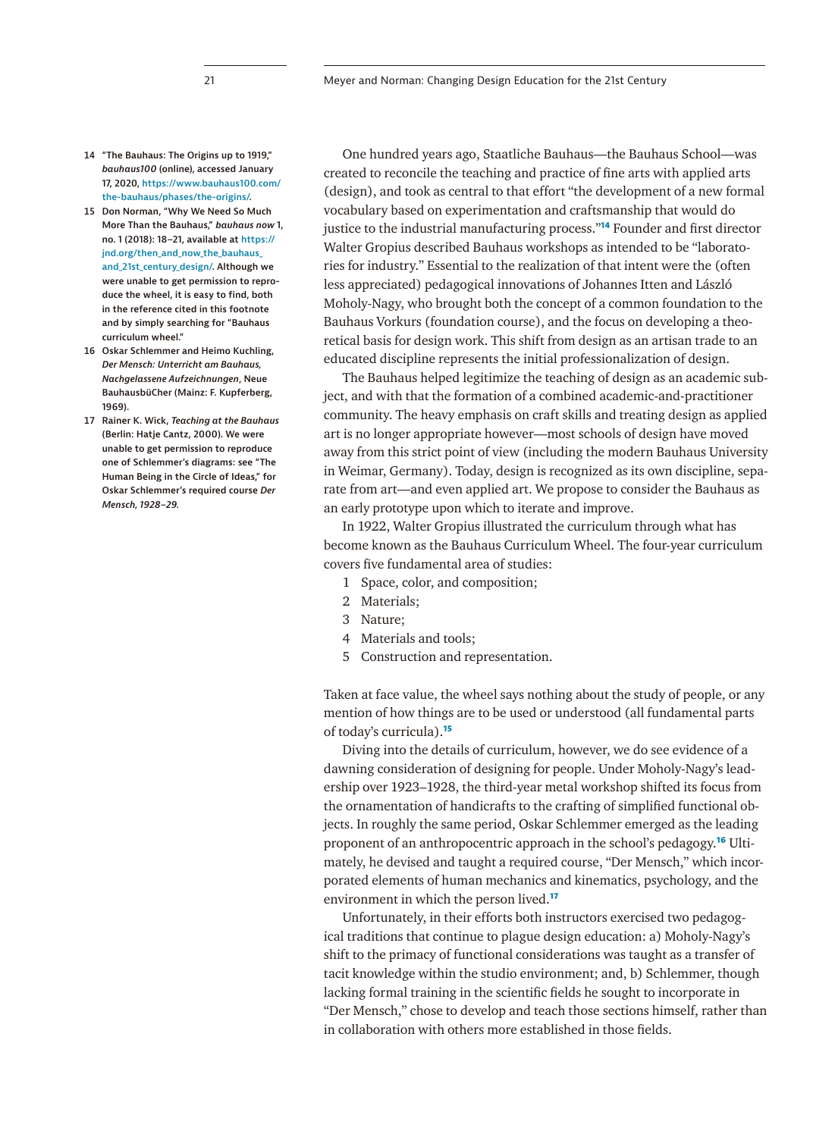- <span id="page-8-0"></span>**14 "The Bauhaus: The Origins up to 1919,"**  *bauhaus100* **(online), accessed January 17, 2020, [https://www.bauhaus100.com/](https://www.bauhaus100.com/the-bauhaus/phases/the-origins/) [the-bauhaus/phases/the-origins/.](https://www.bauhaus100.com/the-bauhaus/phases/the-origins/)**
- <span id="page-8-1"></span>**15 Don Norman, "Why We Need So Much More Than the Bauhaus,"** *bauhaus now* **1, no. 1 (2018): 18–21, available at [https://](https://jnd.org/then_and_now_the_bauhaus_and_21st_century_design/) [jnd.org/then\\_and\\_now\\_the\\_bauhaus\\_](https://jnd.org/then_and_now_the_bauhaus_and_21st_century_design/) [and\\_21st\\_century\\_design/.](https://jnd.org/then_and_now_the_bauhaus_and_21st_century_design/) Although we were unable to get permission to reproduce the wheel, it is easy to find, both in the reference cited in this footnote and by simply searching for "Bauhaus curriculum wheel."**
- <span id="page-8-2"></span>**16 Oskar Schlemmer and Heimo Kuchling,**  *Der Mensch: Unterricht am Bauhaus, Nachgelassene Aufzeichnungen***, Neue BauhausbüCher (Mainz: F. Kupferberg, 1969).**
- <span id="page-8-3"></span>**17 Rainer K. Wick,** *Teaching at the Bauhaus* **(Berlin: Hatje Cantz, 2000). We were unable to get permission to reproduce one of Schlemmer's diagrams: see "The Human Being in the Circle of Ideas," for Oskar Schlemmer's required course** *Der Mensch, 1928–29.*

One hundred years ago, Staatliche Bauhaus—the Bauhaus School—was created to reconcile the teaching and practice of fine arts with applied arts (design), and took as central to that effort "the development of a new formal vocabulary based on experimentation and craftsmanship that would do justice to the industrial manufacturing process."**[14](#page-8-0)** Founder and first director Walter Gropius described Bauhaus workshops as intended to be "laboratories for industry." Essential to the realization of that intent were the (often less appreciated) pedagogical innovations of Johannes Itten and László Moholy-Nagy, who brought both the concept of a common foundation to the Bauhaus Vorkurs (foundation course), and the focus on developing a theoretical basis for design work. This shift from design as an artisan trade to an educated discipline represents the initial professionalization of design.

The Bauhaus helped legitimize the teaching of design as an academic subject, and with that the formation of a combined academic-and-practitioner community. The heavy emphasis on craft skills and treating design as applied art is no longer appropriate however—most schools of design have moved away from this strict point of view (including the modern Bauhaus University in Weimar, Germany). Today, design is recognized as its own discipline, separate from art—and even applied art. We propose to consider the Bauhaus as an early prototype upon which to iterate and improve.

In 1922, Walter Gropius illustrated the curriculum through what has become known as the Bauhaus Curriculum Wheel. The four-year curriculum covers five fundamental area of studies:

- 1 Space, color, and composition;
- 2 Materials;
- 3 Nature;
- 4 Materials and tools;
- 5 Construction and representation.

Taken at face value, the wheel says nothing about the study of people, or any mention of how things are to be used or understood (all fundamental parts of today's curricula).**[15](#page-8-1)**

Diving into the details of curriculum, however, we do see evidence of a dawning consideration of designing for people. Under Moholy-Nagy's leadership over 1923–1928, the third-year metal workshop shifted its focus from the ornamentation of handicrafts to the crafting of simplified functional objects. In roughly the same period, Oskar Schlemmer emerged as the leading proponent of an anthropocentric approach in the school's pedagogy.**[16](#page-8-2)** Ultimately, he devised and taught a required course, "Der Mensch," which incorporated elements of human mechanics and kinematics, psychology, and the environment in which the person lived.**[17](#page-8-3)**

Unfortunately, in their efforts both instructors exercised two pedagogical traditions that continue to plague design education: a) Moholy-Nagy's shift to the primacy of functional considerations was taught as a transfer of tacit knowledge within the studio environment; and, b) Schlemmer, though lacking formal training in the scientific fields he sought to incorporate in "Der Mensch," chose to develop and teach those sections himself, rather than in collaboration with others more established in those fields.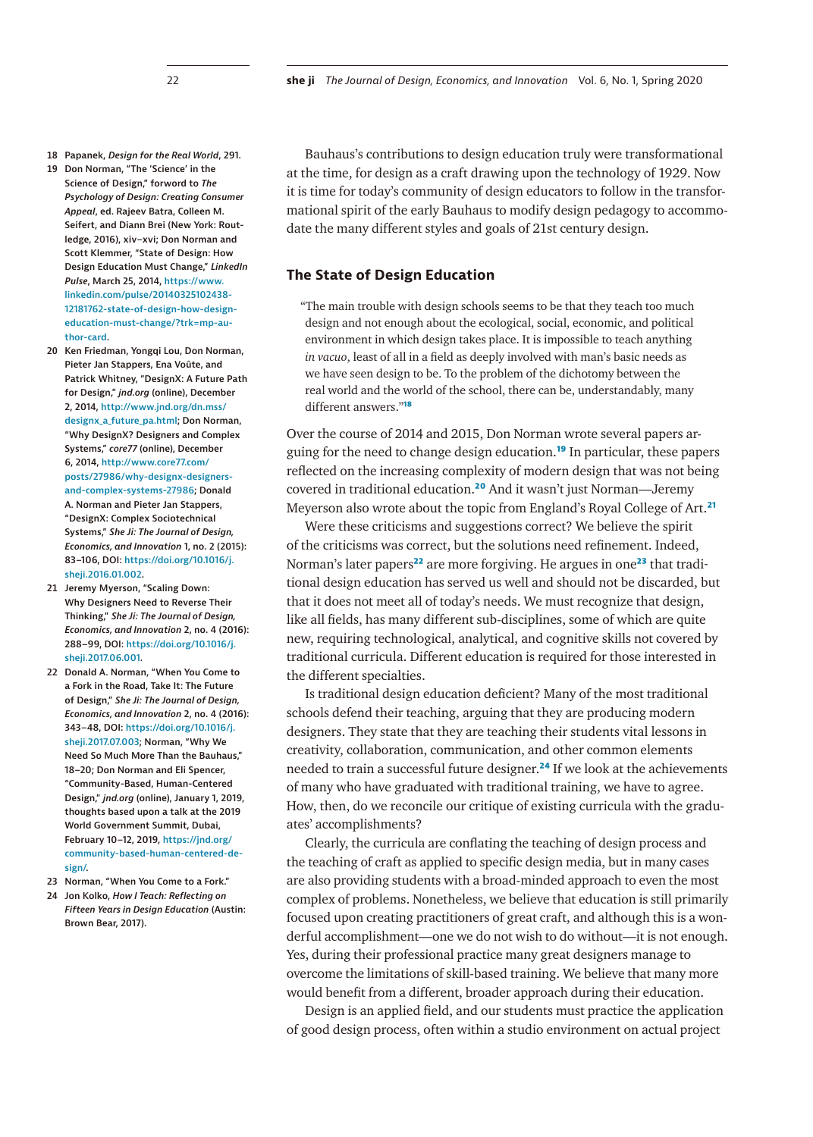- <span id="page-9-0"></span>**18 Papanek,** *Design for the Real World***, 291.**
- <span id="page-9-1"></span>**19 Don Norman, "The 'Science' in the Science of Design," forword to** *The Psychology of Design: Creating Consumer Appeal***, ed. Rajeev Batra, Colleen M. Seifert, and Diann Brei (New York: Routledge, 2016), xiv–xvi; Don Norman and Scott Klemmer, "State of Design: How Design Education Must Change,"** *LinkedIn Pulse***, March 25, 2014, [https://www.](https://www.linkedin.com/pulse/20140325102438-12181762-state-of-design-how-design-education-must-change/?trk=mp-author-card) [linkedin.com/pulse/20140325102438-](https://www.linkedin.com/pulse/20140325102438-12181762-state-of-design-how-design-education-must-change/?trk=mp-author-card) [12181762-state-of-design-how-design](https://www.linkedin.com/pulse/20140325102438-12181762-state-of-design-how-design-education-must-change/?trk=mp-author-card)[education-must-change/?trk=mp-au](https://www.linkedin.com/pulse/20140325102438-12181762-state-of-design-how-design-education-must-change/?trk=mp-author-card)[thor-card](https://www.linkedin.com/pulse/20140325102438-12181762-state-of-design-how-design-education-must-change/?trk=mp-author-card).**
- <span id="page-9-2"></span>**20 Ken Friedman, Yongqi Lou, Don Norman, Pieter Jan Stappers, Ena Voûte, and Patrick Whitney, "DesignX: A Future Path for Design,"** *jnd.org* **(online), December 2, 2014, [http://www.jnd.org/dn.mss/](http://www.jnd.org/dn.mss/designx_a_future_pa.html) [designx\\_a\\_future\\_pa.html;](http://www.jnd.org/dn.mss/designx_a_future_pa.html) Don Norman, "Why DesignX? Designers and Complex Systems,"** *core77* **(online), December 6, 2014, [http://www.core77.com/](http://www.core77.com/posts/27986/why-designx-designers-and-complex-systems-27986) [posts/27986/why-designx-designers](http://www.core77.com/posts/27986/why-designx-designers-and-complex-systems-27986)[and-complex-systems-27986](http://www.core77.com/posts/27986/why-designx-designers-and-complex-systems-27986); Donald A. Norman and Pieter Jan Stappers, "DesignX: Complex Sociotechnical Systems,"** *She Ji: The Journal of Design, Economics, and Innovation* **1, no. 2 (2015): 83–106, DOI: [https://doi.org/10.1016/j.](https://doi.org/10.1016/j.sheji.2016.01.002) [sheji.2016.01.002.](https://doi.org/10.1016/j.sheji.2016.01.002)**
- <span id="page-9-3"></span>**21 Jeremy Myerson, "Scaling Down: Why Designers Need to Reverse Their Thinking,"** *She Ji: The Journal of Design, Economics, and Innovation* **2, no. 4 (2016): 288–99, DOI: [https://doi.org/10.1016/j.](https://doi.org/10.1016/j.sheji.2017.06.001) [sheji.2017.06.001.](https://doi.org/10.1016/j.sheji.2017.06.001)**
- <span id="page-9-4"></span>**22 Donald A. Norman, "When You Come to a Fork in the Road, Take It: The Future of Design,"** *She Ji: The Journal of Design, Economics, and Innovation* **2, no. 4 (2016): 343–48, DOI: [https://doi.org/10.1016/j.](https://doi.org/10.1016/j.sheji.2017.07.003) [sheji.2017.07.003](https://doi.org/10.1016/j.sheji.2017.07.003); Norman, "Why We Need So Much More Than the Bauhaus," 18–20; Don Norman and Eli Spencer, "Community-Based, Human-Centered Design,"** *jnd.org* **(online), January 1, 2019, thoughts based upon a talk at the 2019 World Government Summit, Dubai, February 10–12, 2019, [https://jnd.org/](https://jnd.org/community-based-human-centered-design/) [community-based-human-centered-de](https://jnd.org/community-based-human-centered-design/)[sign/.](https://jnd.org/community-based-human-centered-design/)**
- <span id="page-9-5"></span>**23 Norman, "When You Come to a Fork."**
- <span id="page-9-6"></span>**24 Jon Kolko,** *How I Teach: Reflecting on Fifteen Years in Design Education* **(Austin: Brown Bear, 2017).**

Bauhaus's contributions to design education truly were transformational at the time, for design as a craft drawing upon the technology of 1929. Now it is time for today's community of design educators to follow in the transformational spirit of the early Bauhaus to modify design pedagogy to accommodate the many different styles and goals of 21st century design.

## **The State of Design Education**

"The main trouble with design schools seems to be that they teach too much design and not enough about the ecological, social, economic, and political environment in which design takes place. It is impossible to teach anything *in vacuo*, least of all in a field as deeply involved with man's basic needs as we have seen design to be. To the problem of the dichotomy between the real world and the world of the school, there can be, understandably, many different answers."**[18](#page-9-0)**

Over the course of 2014 and 2015, Don Norman wrote several papers arguing for the need to change design education.**[19](#page-9-1)** In particular, these papers reflected on the increasing complexity of modern design that was not being covered in traditional education.**[20](#page-9-2)** And it wasn't just Norman—Jeremy Meyerson also wrote about the topic from England's Royal College of Art.**[21](#page-9-3)**

Were these criticisms and suggestions correct? We believe the spirit of the criticisms was correct, but the solutions need refinement. Indeed, Norman's later papers**[22](#page-9-4)** are more forgiving. He argues in one**[23](#page-9-5)** that traditional design education has served us well and should not be discarded, but that it does not meet all of today's needs. We must recognize that design, like all fields, has many different sub-disciplines, some of which are quite new, requiring technological, analytical, and cognitive skills not covered by traditional curricula. Different education is required for those interested in the different specialties.

Is traditional design education deficient? Many of the most traditional schools defend their teaching, arguing that they are producing modern designers. They state that they are teaching their students vital lessons in creativity, collaboration, communication, and other common elements needed to train a successful future designer.**[24](#page-9-6)** If we look at the achievements of many who have graduated with traditional training, we have to agree. How, then, do we reconcile our critique of existing curricula with the graduates' accomplishments?

Clearly, the curricula are conflating the teaching of design process and the teaching of craft as applied to specific design media, but in many cases are also providing students with a broad-minded approach to even the most complex of problems. Nonetheless, we believe that education is still primarily focused upon creating practitioners of great craft, and although this is a wonderful accomplishment—one we do not wish to do without—it is not enough. Yes, during their professional practice many great designers manage to overcome the limitations of skill-based training. We believe that many more would benefit from a different, broader approach during their education.

Design is an applied field, and our students must practice the application of good design process, often within a studio environment on actual project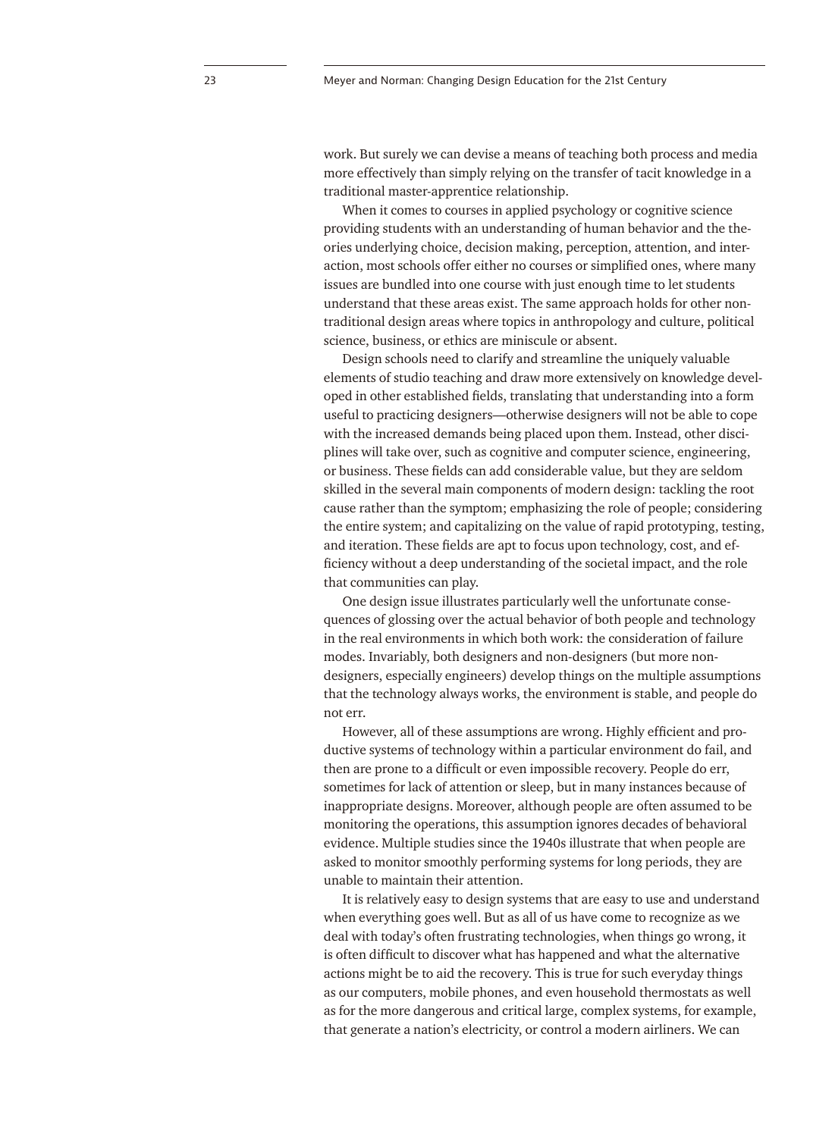work. But surely we can devise a means of teaching both process and media more effectively than simply relying on the transfer of tacit knowledge in a traditional master-apprentice relationship.

When it comes to courses in applied psychology or cognitive science providing students with an understanding of human behavior and the theories underlying choice, decision making, perception, attention, and interaction, most schools offer either no courses or simplified ones, where many issues are bundled into one course with just enough time to let students understand that these areas exist. The same approach holds for other nontraditional design areas where topics in anthropology and culture, political science, business, or ethics are miniscule or absent.

Design schools need to clarify and streamline the uniquely valuable elements of studio teaching and draw more extensively on knowledge developed in other established fields, translating that understanding into a form useful to practicing designers—otherwise designers will not be able to cope with the increased demands being placed upon them. Instead, other disciplines will take over, such as cognitive and computer science, engineering, or business. These fields can add considerable value, but they are seldom skilled in the several main components of modern design: tackling the root cause rather than the symptom; emphasizing the role of people; considering the entire system; and capitalizing on the value of rapid prototyping, testing, and iteration. These fields are apt to focus upon technology, cost, and efficiency without a deep understanding of the societal impact, and the role that communities can play.

One design issue illustrates particularly well the unfortunate consequences of glossing over the actual behavior of both people and technology in the real environments in which both work: the consideration of failure modes. Invariably, both designers and non-designers (but more nondesigners, especially engineers) develop things on the multiple assumptions that the technology always works, the environment is stable, and people do not err.

However, all of these assumptions are wrong. Highly efficient and productive systems of technology within a particular environment do fail, and then are prone to a difficult or even impossible recovery. People do err, sometimes for lack of attention or sleep, but in many instances because of inappropriate designs. Moreover, although people are often assumed to be monitoring the operations, this assumption ignores decades of behavioral evidence. Multiple studies since the 1940s illustrate that when people are asked to monitor smoothly performing systems for long periods, they are unable to maintain their attention.

It is relatively easy to design systems that are easy to use and understand when everything goes well. But as all of us have come to recognize as we deal with today's often frustrating technologies, when things go wrong, it is often difficult to discover what has happened and what the alternative actions might be to aid the recovery. This is true for such everyday things as our computers, mobile phones, and even household thermostats as well as for the more dangerous and critical large, complex systems, for example, that generate a nation's electricity, or control a modern airliners. We can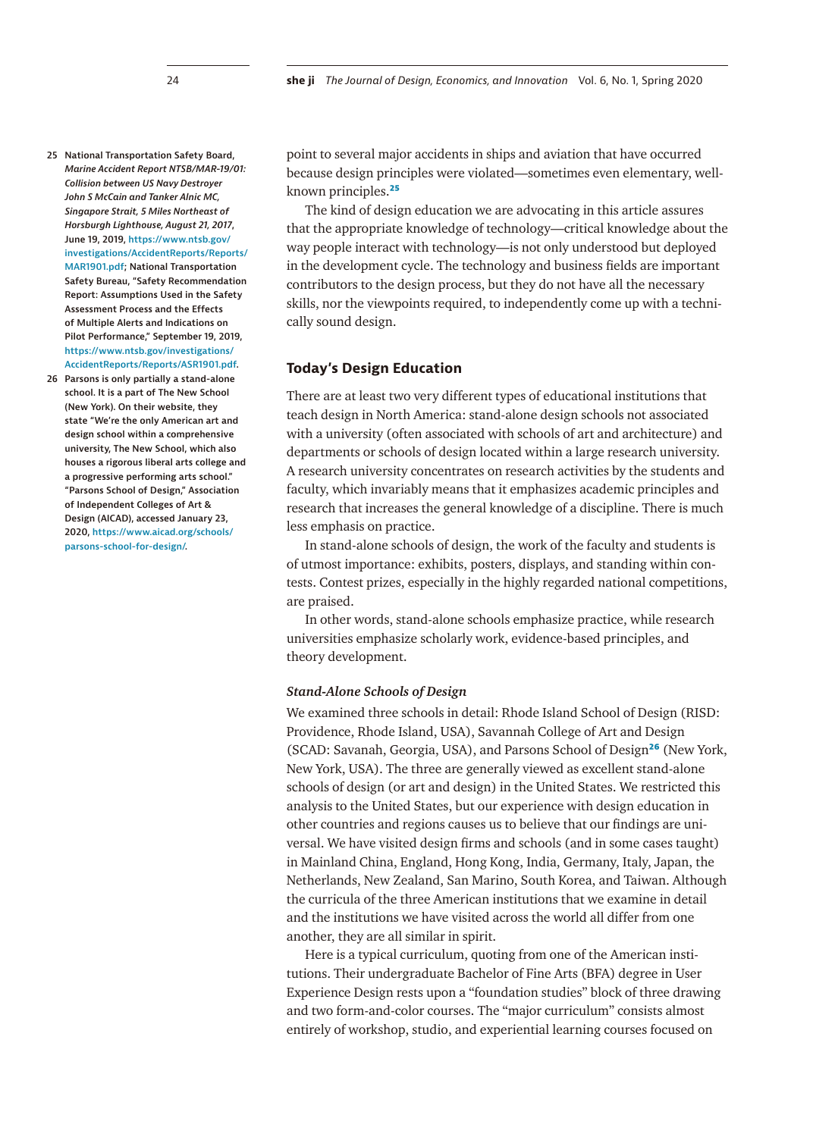- <span id="page-11-0"></span>**25 National Transportation Safety Board,**  *Marine Accident Report NTSB/MAR-19/01: Collision between US Navy Destroyer John S McCain and Tanker Alnic MC, Singapore Strait, 5 Miles Northeast of Horsburgh Lighthouse, August 21, 2017***, June 19, 2019, [https://www.ntsb.gov/](https://www.ntsb.gov/investigations/AccidentReports/Reports/MAR1901.pdf) [investigations/AccidentReports/Reports/](https://www.ntsb.gov/investigations/AccidentReports/Reports/MAR1901.pdf) [MAR1901.pdf;](https://www.ntsb.gov/investigations/AccidentReports/Reports/MAR1901.pdf) National Transportation Safety Bureau, "Safety Recommendation Report: Assumptions Used in the Safety Assessment Process and the Effects of Multiple Alerts and Indications on Pilot Performance," September 19, 2019, [https://www.ntsb.gov/investigations/](https://www.ntsb.gov/investigations/AccidentReports/Reports/ASR1901.pdf) [AccidentReports/Reports/ASR1901.pdf.](https://www.ntsb.gov/investigations/AccidentReports/Reports/ASR1901.pdf)**
- <span id="page-11-1"></span>**26 Parsons is only partially a stand-alone school. It is a part of The New School (New York). On their website, they state "We're the only American art and design school within a comprehensive university, The New School, which also houses a rigorous liberal arts college and a progressive performing arts school." "Parsons School of Design," Association of Independent Colleges of Art & Design (AICAD), accessed January 23, 2020, [https://www.aicad.org/schools/](https://www.aicad.org/schools/parsons-school-for-design/) [parsons-school-for-design/](https://www.aicad.org/schools/parsons-school-for-design/).**

point to several major accidents in ships and aviation that have occurred because design principles were violated—sometimes even elementary, wellknown principles.**[25](#page-11-0)**

The kind of design education we are advocating in this article assures that the appropriate knowledge of technology—critical knowledge about the way people interact with technology—is not only understood but deployed in the development cycle. The technology and business fields are important contributors to the design process, but they do not have all the necessary skills, nor the viewpoints required, to independently come up with a technically sound design.

## **Today's Design Education**

There are at least two very different types of educational institutions that teach design in North America: stand-alone design schools not associated with a university (often associated with schools of art and architecture) and departments or schools of design located within a large research university. A research university concentrates on research activities by the students and faculty, which invariably means that it emphasizes academic principles and research that increases the general knowledge of a discipline. There is much less emphasis on practice.

In stand-alone schools of design, the work of the faculty and students is of utmost importance: exhibits, posters, displays, and standing within contests. Contest prizes, especially in the highly regarded national competitions, are praised.

In other words, stand-alone schools emphasize practice, while research universities emphasize scholarly work, evidence-based principles, and theory development.

## *Stand-Alone Schools of Design*

We examined three schools in detail: Rhode Island School of Design (RISD: Providence, Rhode Island, USA), Savannah College of Art and Design (SCAD: Savanah, Georgia, USA), and Parsons School of Design**[26](#page-11-1)** (New York, New York, USA). The three are generally viewed as excellent stand-alone schools of design (or art and design) in the United States. We restricted this analysis to the United States, but our experience with design education in other countries and regions causes us to believe that our findings are universal. We have visited design firms and schools (and in some cases taught) in Mainland China, England, Hong Kong, India, Germany, Italy, Japan, the Netherlands, New Zealand, San Marino, South Korea, and Taiwan. Although the curricula of the three American institutions that we examine in detail and the institutions we have visited across the world all differ from one another, they are all similar in spirit.

Here is a typical curriculum, quoting from one of the American institutions. Their undergraduate Bachelor of Fine Arts (BFA) degree in User Experience Design rests upon a "foundation studies" block of three drawing and two form-and-color courses. The "major curriculum" consists almost entirely of workshop, studio, and experiential learning courses focused on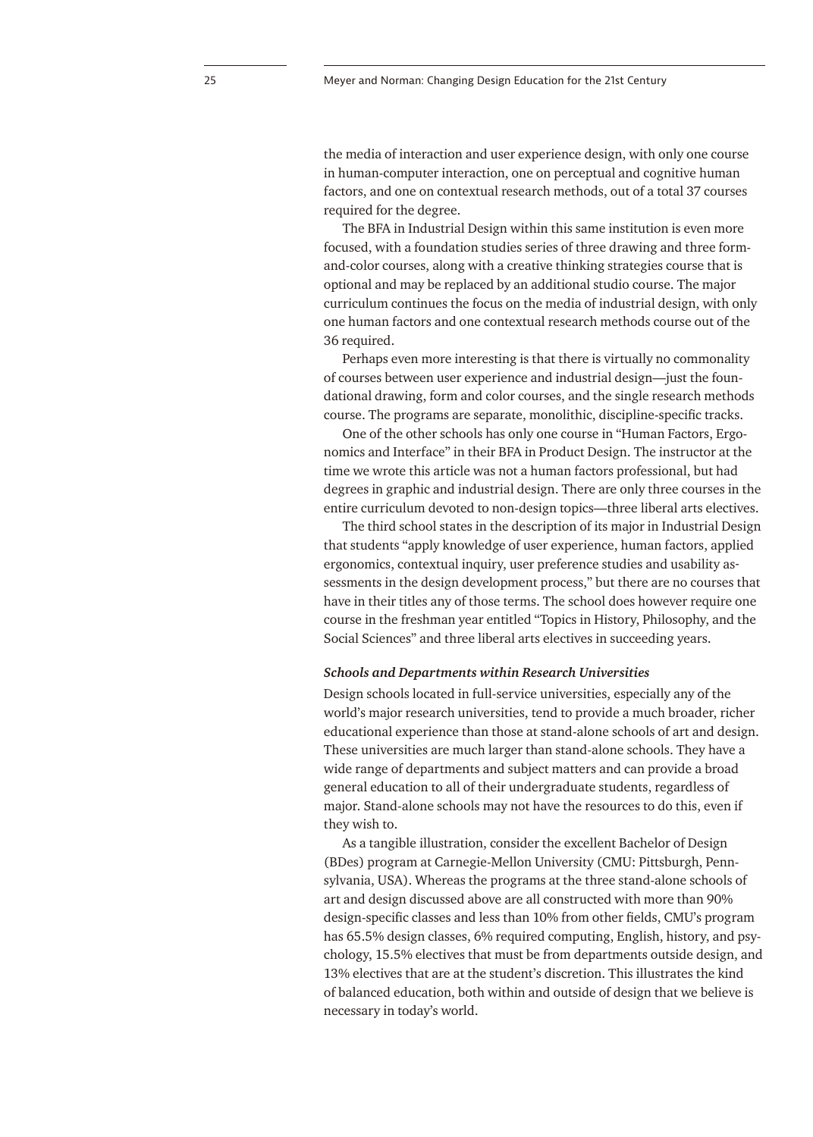the media of interaction and user experience design, with only one course in human-computer interaction, one on perceptual and cognitive human factors, and one on contextual research methods, out of a total 37 courses required for the degree.

The BFA in Industrial Design within this same institution is even more focused, with a foundation studies series of three drawing and three formand-color courses, along with a creative thinking strategies course that is optional and may be replaced by an additional studio course. The major curriculum continues the focus on the media of industrial design, with only one human factors and one contextual research methods course out of the 36 required.

Perhaps even more interesting is that there is virtually no commonality of courses between user experience and industrial design—just the foundational drawing, form and color courses, and the single research methods course. The programs are separate, monolithic, discipline-specific tracks.

One of the other schools has only one course in "Human Factors, Ergonomics and Interface" in their BFA in Product Design. The instructor at the time we wrote this article was not a human factors professional, but had degrees in graphic and industrial design. There are only three courses in the entire curriculum devoted to non-design topics—three liberal arts electives.

The third school states in the description of its major in Industrial Design that students "apply knowledge of user experience, human factors, applied ergonomics, contextual inquiry, user preference studies and usability assessments in the design development process," but there are no courses that have in their titles any of those terms. The school does however require one course in the freshman year entitled "Topics in History, Philosophy, and the Social Sciences" and three liberal arts electives in succeeding years.

#### *Schools and Departments within Research Universities*

Design schools located in full-service universities, especially any of the world's major research universities, tend to provide a much broader, richer educational experience than those at stand-alone schools of art and design. These universities are much larger than stand-alone schools. They have a wide range of departments and subject matters and can provide a broad general education to all of their undergraduate students, regardless of major. Stand-alone schools may not have the resources to do this, even if they wish to.

As a tangible illustration, consider the excellent Bachelor of Design (BDes) program at Carnegie-Mellon University (CMU: Pittsburgh, Pennsylvania, USA). Whereas the programs at the three stand-alone schools of art and design discussed above are all constructed with more than 90% design-specific classes and less than 10% from other fields, CMU's program has 65.5% design classes, 6% required computing, English, history, and psychology, 15.5% electives that must be from departments outside design, and 13% electives that are at the student's discretion. This illustrates the kind of balanced education, both within and outside of design that we believe is necessary in today's world.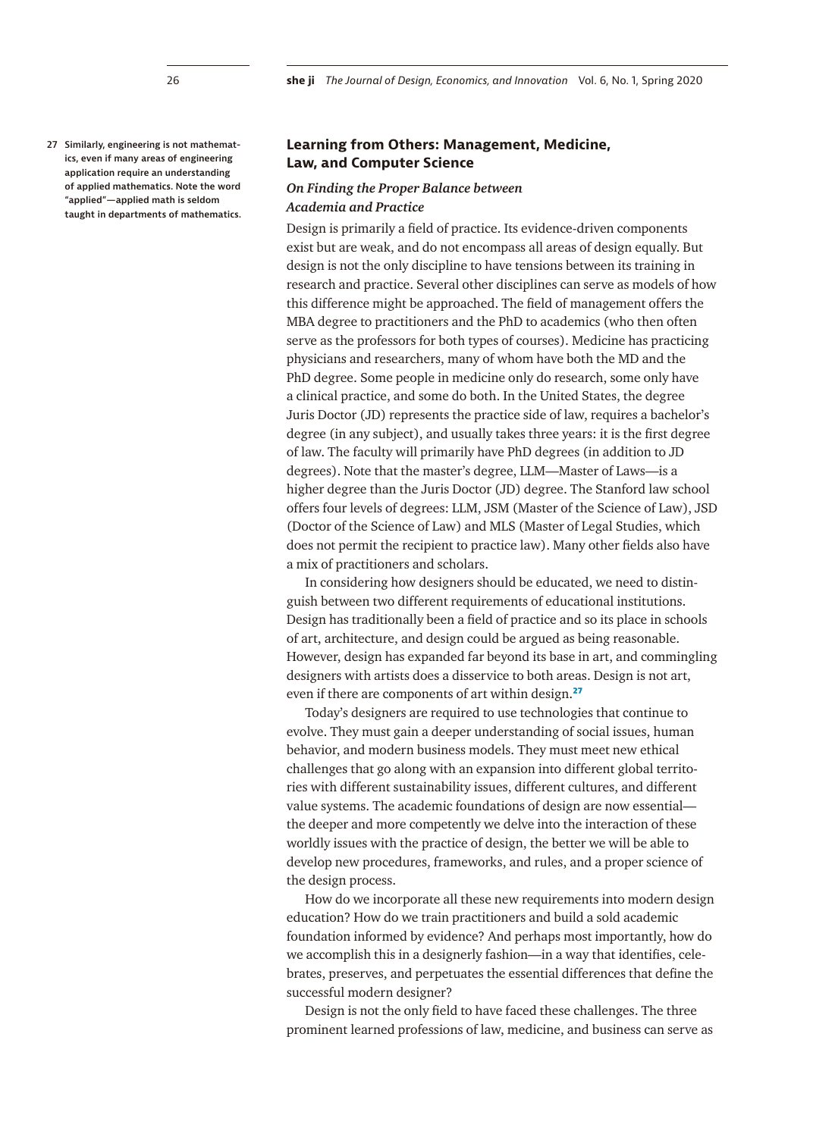<span id="page-13-0"></span>**27 Similarly, engineering is not mathematics, even if many areas of engineering application require an understanding of applied mathematics. Note the word "applied"—applied math is seldom taught in departments of mathematics.**

# **Learning from Others: Management, Medicine, Law, and Computer Science**

## *On Finding the Proper Balance between Academia and Practice*

Design is primarily a field of practice. Its evidence-driven components exist but are weak, and do not encompass all areas of design equally. But design is not the only discipline to have tensions between its training in research and practice. Several other disciplines can serve as models of how this difference might be approached. The field of management offers the MBA degree to practitioners and the PhD to academics (who then often serve as the professors for both types of courses). Medicine has practicing physicians and researchers, many of whom have both the MD and the PhD degree. Some people in medicine only do research, some only have a clinical practice, and some do both. In the United States, the degree Juris Doctor (JD) represents the practice side of law, requires a bachelor's degree (in any subject), and usually takes three years: it is the first degree of law. The faculty will primarily have PhD degrees (in addition to JD degrees). Note that the master's degree, LLM—Master of Laws—is a higher degree than the Juris Doctor (JD) degree. The Stanford law school offers four levels of degrees: LLM, JSM (Master of the Science of Law), JSD (Doctor of the Science of Law) and MLS (Master of Legal Studies, which does not permit the recipient to practice law). Many other fields also have a mix of practitioners and scholars.

In considering how designers should be educated, we need to distinguish between two different requirements of educational institutions. Design has traditionally been a field of practice and so its place in schools of art, architecture, and design could be argued as being reasonable. However, design has expanded far beyond its base in art, and commingling designers with artists does a disservice to both areas. Design is not art, even if there are components of art within design.**[27](#page-13-0)**

Today's designers are required to use technologies that continue to evolve. They must gain a deeper understanding of social issues, human behavior, and modern business models. They must meet new ethical challenges that go along with an expansion into different global territories with different sustainability issues, different cultures, and different value systems. The academic foundations of design are now essential the deeper and more competently we delve into the interaction of these worldly issues with the practice of design, the better we will be able to develop new procedures, frameworks, and rules, and a proper science of the design process.

How do we incorporate all these new requirements into modern design education? How do we train practitioners and build a sold academic foundation informed by evidence? And perhaps most importantly, how do we accomplish this in a designerly fashion—in a way that identifies, celebrates, preserves, and perpetuates the essential differences that define the successful modern designer?

Design is not the only field to have faced these challenges. The three prominent learned professions of law, medicine, and business can serve as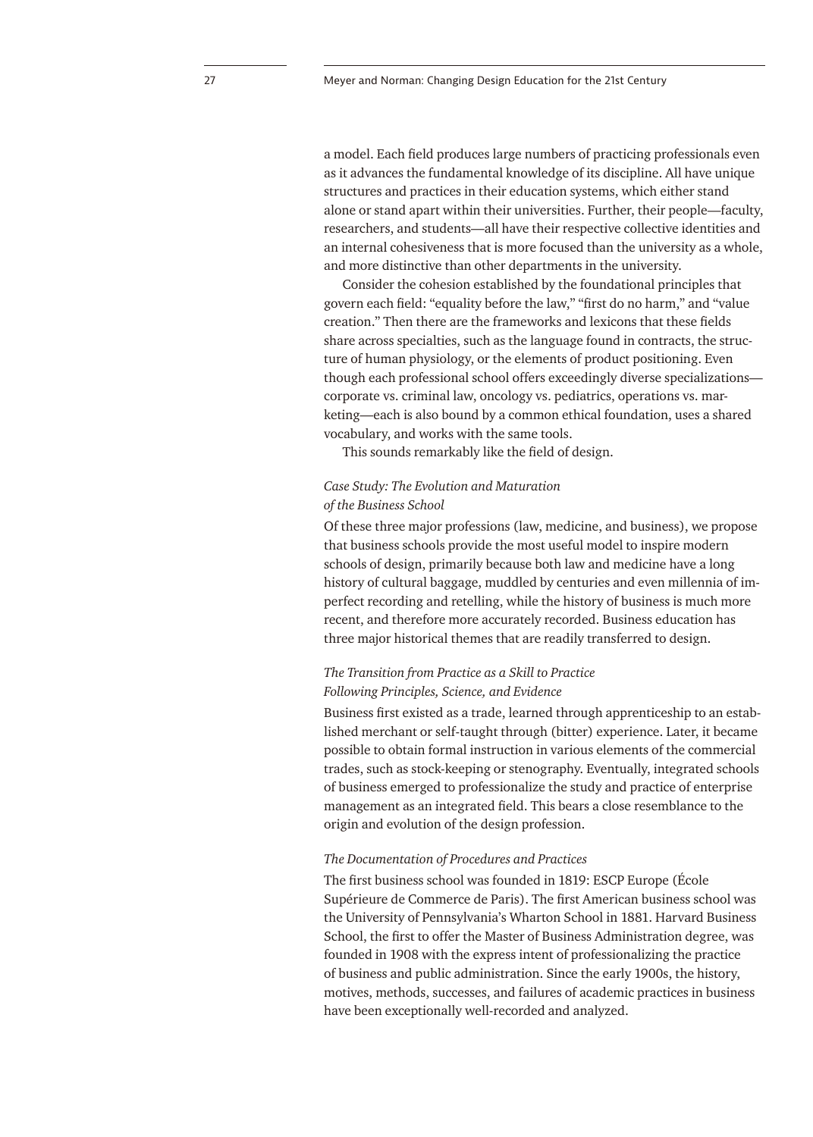a model. Each field produces large numbers of practicing professionals even as it advances the fundamental knowledge of its discipline. All have unique structures and practices in their education systems, which either stand alone or stand apart within their universities. Further, their people—faculty, researchers, and students—all have their respective collective identities and an internal cohesiveness that is more focused than the university as a whole, and more distinctive than other departments in the university.

Consider the cohesion established by the foundational principles that govern each field: "equality before the law," "first do no harm," and "value creation." Then there are the frameworks and lexicons that these fields share across specialties, such as the language found in contracts, the structure of human physiology, or the elements of product positioning. Even though each professional school offers exceedingly diverse specializations corporate vs. criminal law, oncology vs. pediatrics, operations vs. marketing—each is also bound by a common ethical foundation, uses a shared vocabulary, and works with the same tools.

This sounds remarkably like the field of design.

# *Case Study: The Evolution and Maturation of the Business School*

Of these three major professions (law, medicine, and business), we propose that business schools provide the most useful model to inspire modern schools of design, primarily because both law and medicine have a long history of cultural baggage, muddled by centuries and even millennia of imperfect recording and retelling, while the history of business is much more recent, and therefore more accurately recorded. Business education has three major historical themes that are readily transferred to design.

# *The Transition from Practice as a Skill to Practice Following Principles, Science, and Evidence*

Business first existed as a trade, learned through apprenticeship to an established merchant or self-taught through (bitter) experience. Later, it became possible to obtain formal instruction in various elements of the commercial trades, such as stock-keeping or stenography. Eventually, integrated schools of business emerged to professionalize the study and practice of enterprise management as an integrated field. This bears a close resemblance to the origin and evolution of the design profession.

#### *The Documentation of Procedures and Practices*

The first business school was founded in 1819: ESCP Europe (École Supérieure de Commerce de Paris). The first American business school was the University of Pennsylvania's Wharton School in 1881. Harvard Business School, the first to offer the Master of Business Administration degree, was founded in 1908 with the express intent of professionalizing the practice of business and public administration. Since the early 1900s, the history, motives, methods, successes, and failures of academic practices in business have been exceptionally well-recorded and analyzed.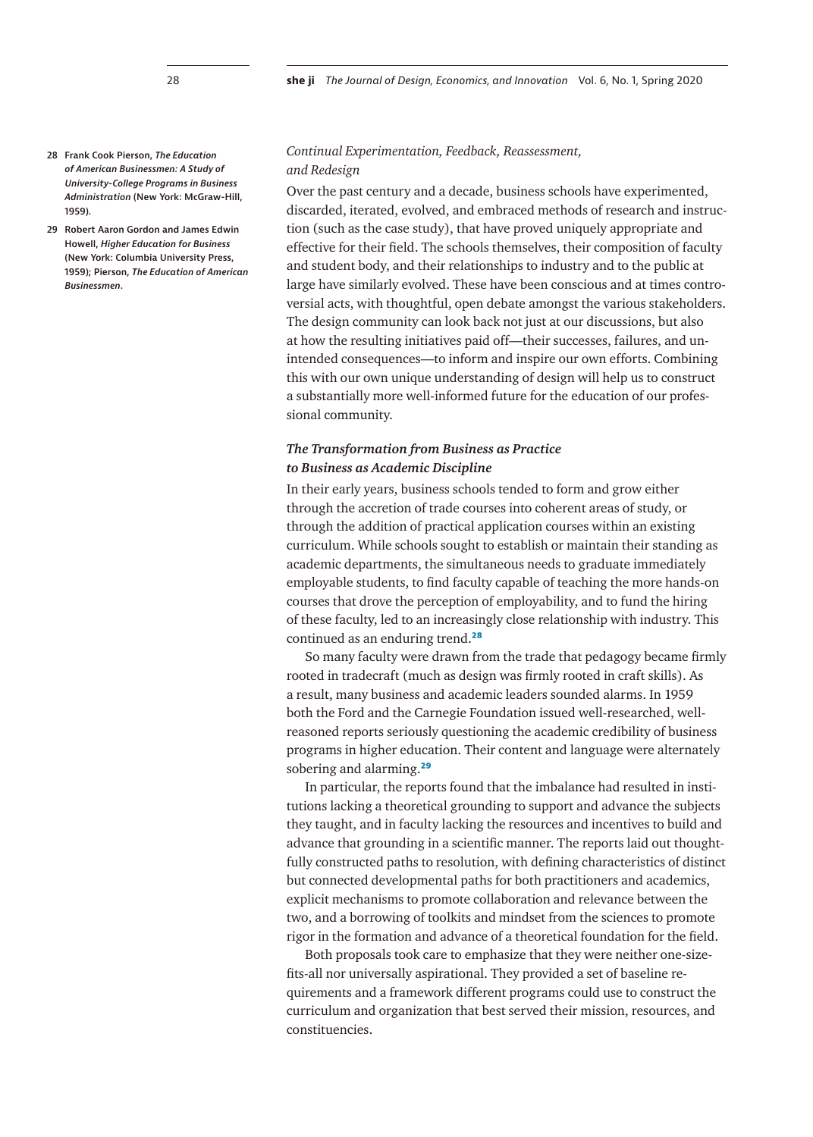- <span id="page-15-0"></span>**28 Frank Cook Pierson,** *The Education of American Businessmen: A Study of University-College Programs in Business Administration* **(New York: McGraw-Hill, 1959).**
- <span id="page-15-1"></span>**29 Robert Aaron Gordon and James Edwin Howell,** *Higher Education for Business* **(New York: Columbia University Press, 1959); Pierson,** *The Education of American Businessmen***.**

# *Continual Experimentation, Feedback, Reassessment, and Redesign*

Over the past century and a decade, business schools have experimented, discarded, iterated, evolved, and embraced methods of research and instruction (such as the case study), that have proved uniquely appropriate and effective for their field. The schools themselves, their composition of faculty and student body, and their relationships to industry and to the public at large have similarly evolved. These have been conscious and at times controversial acts, with thoughtful, open debate amongst the various stakeholders. The design community can look back not just at our discussions, but also at how the resulting initiatives paid off—their successes, failures, and unintended consequences—to inform and inspire our own efforts. Combining this with our own unique understanding of design will help us to construct a substantially more well-informed future for the education of our professional community.

# *The Transformation from Business as Practice to Business as Academic Discipline*

In their early years, business schools tended to form and grow either through the accretion of trade courses into coherent areas of study, or through the addition of practical application courses within an existing curriculum. While schools sought to establish or maintain their standing as academic departments, the simultaneous needs to graduate immediately employable students, to find faculty capable of teaching the more hands-on courses that drove the perception of employability, and to fund the hiring of these faculty, led to an increasingly close relationship with industry. This continued as an enduring trend.**[28](#page-15-0)**

So many faculty were drawn from the trade that pedagogy became firmly rooted in tradecraft (much as design was firmly rooted in craft skills). As a result, many business and academic leaders sounded alarms. In 1959 both the Ford and the Carnegie Foundation issued well-researched, wellreasoned reports seriously questioning the academic credibility of business programs in higher education. Their content and language were alternately sobering and alarming.**[29](#page-15-1)**

In particular, the reports found that the imbalance had resulted in institutions lacking a theoretical grounding to support and advance the subjects they taught, and in faculty lacking the resources and incentives to build and advance that grounding in a scientific manner. The reports laid out thoughtfully constructed paths to resolution, with defining characteristics of distinct but connected developmental paths for both practitioners and academics, explicit mechanisms to promote collaboration and relevance between the two, and a borrowing of toolkits and mindset from the sciences to promote rigor in the formation and advance of a theoretical foundation for the field.

Both proposals took care to emphasize that they were neither one-sizefits-all nor universally aspirational. They provided a set of baseline requirements and a framework different programs could use to construct the curriculum and organization that best served their mission, resources, and constituencies.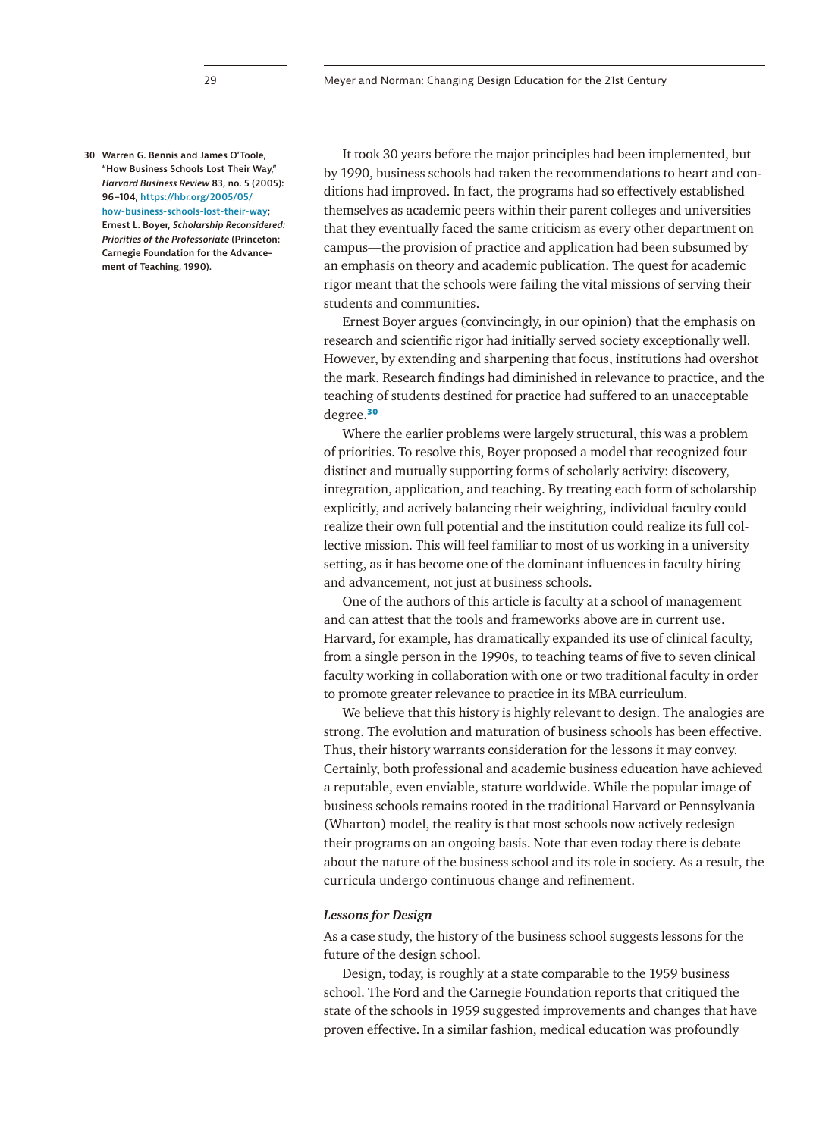<span id="page-16-0"></span>**30 Warren G. Bennis and James O'Toole, "How Business Schools Lost Their Way,"**  *Harvard Business Review* **83, no. 5 (2005): 96–104, [https://hbr.org/2005/05/](https://hbr.org/2005/05/how-business-schools-lost-their-way) [how-business-schools-lost-their-way;](https://hbr.org/2005/05/how-business-schools-lost-their-way) Ernest L. Boyer,** *Scholarship Reconsidered: Priorities of the Professoriate* **(Princeton: Carnegie Foundation for the Advancement of Teaching, 1990).**

It took 30 years before the major principles had been implemented, but by 1990, business schools had taken the recommendations to heart and conditions had improved. In fact, the programs had so effectively established themselves as academic peers within their parent colleges and universities that they eventually faced the same criticism as every other department on campus—the provision of practice and application had been subsumed by an emphasis on theory and academic publication. The quest for academic rigor meant that the schools were failing the vital missions of serving their students and communities.

Ernest Boyer argues (convincingly, in our opinion) that the emphasis on research and scientific rigor had initially served society exceptionally well. However, by extending and sharpening that focus, institutions had overshot the mark. Research findings had diminished in relevance to practice, and the teaching of students destined for practice had suffered to an unacceptable degree.**[30](#page-16-0)**

Where the earlier problems were largely structural, this was a problem of priorities. To resolve this, Boyer proposed a model that recognized four distinct and mutually supporting forms of scholarly activity: discovery, integration, application, and teaching. By treating each form of scholarship explicitly, and actively balancing their weighting, individual faculty could realize their own full potential and the institution could realize its full collective mission. This will feel familiar to most of us working in a university setting, as it has become one of the dominant influences in faculty hiring and advancement, not just at business schools.

One of the authors of this article is faculty at a school of management and can attest that the tools and frameworks above are in current use. Harvard, for example, has dramatically expanded its use of clinical faculty, from a single person in the 1990s, to teaching teams of five to seven clinical faculty working in collaboration with one or two traditional faculty in order to promote greater relevance to practice in its MBA curriculum.

We believe that this history is highly relevant to design. The analogies are strong. The evolution and maturation of business schools has been effective. Thus, their history warrants consideration for the lessons it may convey. Certainly, both professional and academic business education have achieved a reputable, even enviable, stature worldwide. While the popular image of business schools remains rooted in the traditional Harvard or Pennsylvania (Wharton) model, the reality is that most schools now actively redesign their programs on an ongoing basis. Note that even today there is debate about the nature of the business school and its role in society. As a result, the curricula undergo continuous change and refinement.

#### *Lessons for Design*

As a case study, the history of the business school suggests lessons for the future of the design school.

Design, today, is roughly at a state comparable to the 1959 business school. The Ford and the Carnegie Foundation reports that critiqued the state of the schools in 1959 suggested improvements and changes that have proven effective. In a similar fashion, medical education was profoundly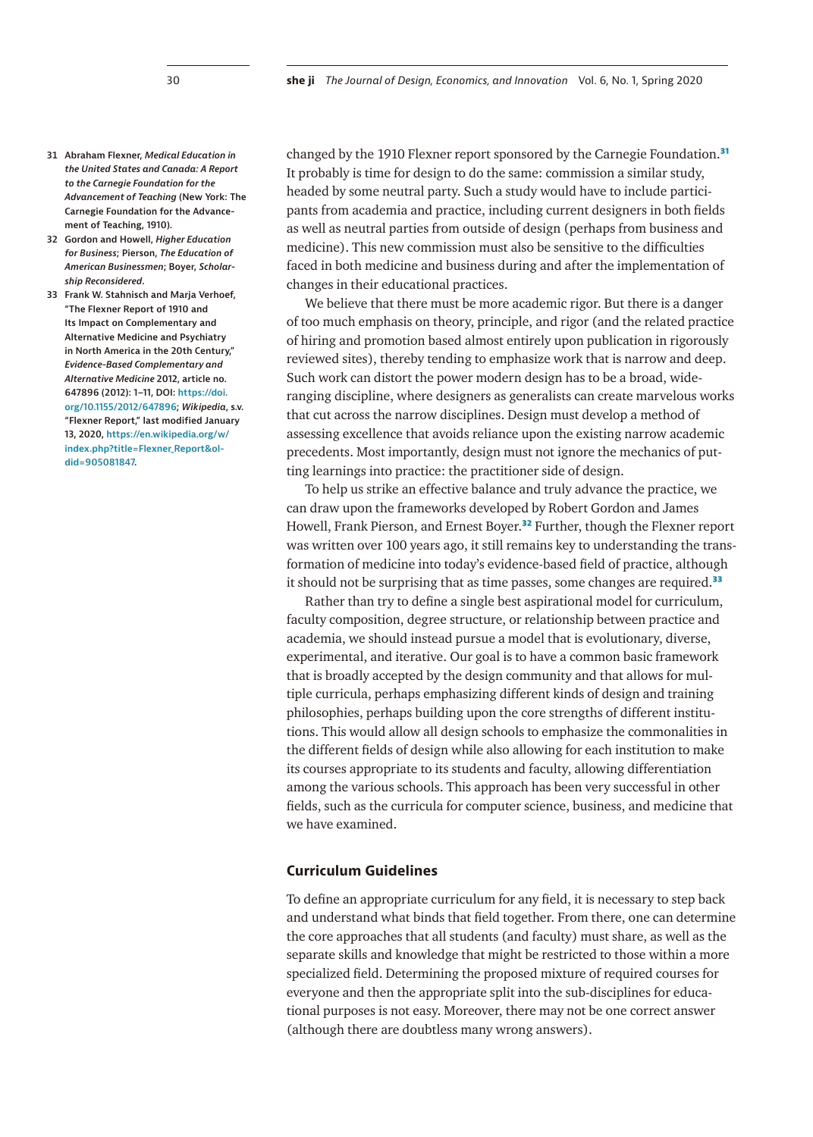- <span id="page-17-0"></span>**31 Abraham Flexner,** *Medical Education in the United States and Canada: A Report to the Carnegie Foundation for the Advancement of Teaching* **(New York: The Carnegie Foundation for the Advancement of Teaching, 1910).**
- <span id="page-17-1"></span>**32 Gordon and Howell,** *Higher Education for Business***; Pierson,** *The Education of American Businessmen***; Boyer,** *Scholarship Reconsidered***.**
- <span id="page-17-2"></span>**33 Frank W. Stahnisch and Marja Verhoef, "The Flexner Report of 1910 and Its Impact on Complementary and Alternative Medicine and Psychiatry in North America in the 20th Century,"**  *Evidence-Based Complementary and Alternative Medicine* **2012, article no. 647896 (2012): 1–11, DOI: [https://doi.](https://doi.org/10.1155/2012/647896) [org/10.1155/2012/647896](https://doi.org/10.1155/2012/647896);** *Wikipedia***, s.v. "Flexner Report," last modified January 13, 2020, [https://en.wikipedia.org/w/](https://en.wikipedia.org/w/index.php?title=Flexner_Report&oldid=905081847) [index.php?title=Flexner\\_Report&ol](https://en.wikipedia.org/w/index.php?title=Flexner_Report&oldid=905081847)[did=905081847.](https://en.wikipedia.org/w/index.php?title=Flexner_Report&oldid=905081847)**

changed by the 1910 Flexner report sponsored by the Carnegie Foundation.**[31](#page-17-0)** It probably is time for design to do the same: commission a similar study, headed by some neutral party. Such a study would have to include participants from academia and practice, including current designers in both fields as well as neutral parties from outside of design (perhaps from business and medicine). This new commission must also be sensitive to the difficulties faced in both medicine and business during and after the implementation of changes in their educational practices.

We believe that there must be more academic rigor. But there is a danger of too much emphasis on theory, principle, and rigor (and the related practice of hiring and promotion based almost entirely upon publication in rigorously reviewed sites), thereby tending to emphasize work that is narrow and deep. Such work can distort the power modern design has to be a broad, wideranging discipline, where designers as generalists can create marvelous works that cut across the narrow disciplines. Design must develop a method of assessing excellence that avoids reliance upon the existing narrow academic precedents. Most importantly, design must not ignore the mechanics of putting learnings into practice: the practitioner side of design.

To help us strike an effective balance and truly advance the practice, we can draw upon the frameworks developed by Robert Gordon and James Howell, Frank Pierson, and Ernest Boyer.**[32](#page-17-1)** Further, though the Flexner report was written over 100 years ago, it still remains key to understanding the transformation of medicine into today's evidence-based field of practice, although it should not be surprising that as time passes, some changes are required.**[33](#page-17-2)**

Rather than try to define a single best aspirational model for curriculum, faculty composition, degree structure, or relationship between practice and academia, we should instead pursue a model that is evolutionary, diverse, experimental, and iterative. Our goal is to have a common basic framework that is broadly accepted by the design community and that allows for multiple curricula, perhaps emphasizing different kinds of design and training philosophies, perhaps building upon the core strengths of different institutions. This would allow all design schools to emphasize the commonalities in the different fields of design while also allowing for each institution to make its courses appropriate to its students and faculty, allowing differentiation among the various schools. This approach has been very successful in other fields, such as the curricula for computer science, business, and medicine that we have examined.

## **Curriculum Guidelines**

To define an appropriate curriculum for any field, it is necessary to step back and understand what binds that field together. From there, one can determine the core approaches that all students (and faculty) must share, as well as the separate skills and knowledge that might be restricted to those within a more specialized field. Determining the proposed mixture of required courses for everyone and then the appropriate split into the sub-disciplines for educational purposes is not easy. Moreover, there may not be one correct answer (although there are doubtless many wrong answers).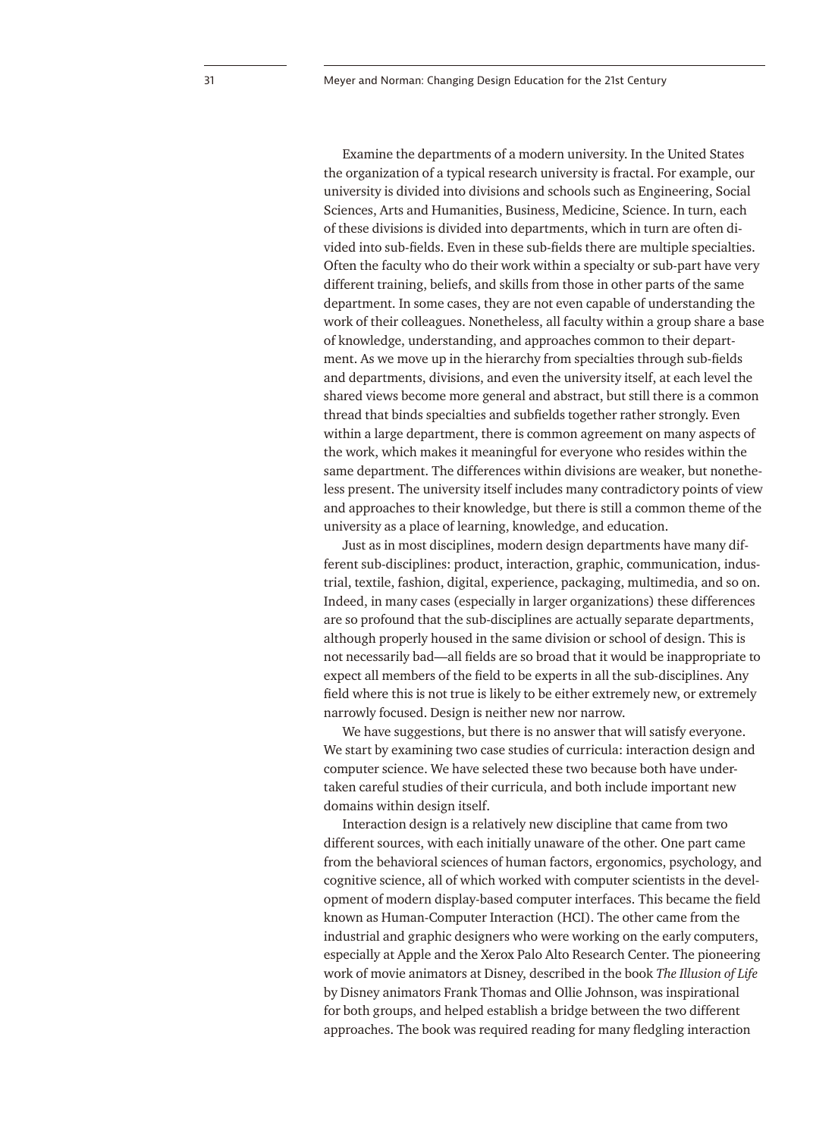Examine the departments of a modern university. In the United States the organization of a typical research university is fractal. For example, our university is divided into divisions and schools such as Engineering, Social Sciences, Arts and Humanities, Business, Medicine, Science. In turn, each of these divisions is divided into departments, which in turn are often divided into sub-fields. Even in these sub-fields there are multiple specialties. Often the faculty who do their work within a specialty or sub-part have very different training, beliefs, and skills from those in other parts of the same department. In some cases, they are not even capable of understanding the work of their colleagues. Nonetheless, all faculty within a group share a base of knowledge, understanding, and approaches common to their department. As we move up in the hierarchy from specialties through sub-fields and departments, divisions, and even the university itself, at each level the shared views become more general and abstract, but still there is a common thread that binds specialties and subfields together rather strongly. Even within a large department, there is common agreement on many aspects of the work, which makes it meaningful for everyone who resides within the same department. The differences within divisions are weaker, but nonetheless present. The university itself includes many contradictory points of view and approaches to their knowledge, but there is still a common theme of the university as a place of learning, knowledge, and education.

Just as in most disciplines, modern design departments have many different sub-disciplines: product, interaction, graphic, communication, industrial, textile, fashion, digital, experience, packaging, multimedia, and so on. Indeed, in many cases (especially in larger organizations) these differences are so profound that the sub-disciplines are actually separate departments, although properly housed in the same division or school of design. This is not necessarily bad—all fields are so broad that it would be inappropriate to expect all members of the field to be experts in all the sub-disciplines. Any field where this is not true is likely to be either extremely new, or extremely narrowly focused. Design is neither new nor narrow.

We have suggestions, but there is no answer that will satisfy everyone. We start by examining two case studies of curricula: interaction design and computer science. We have selected these two because both have undertaken careful studies of their curricula, and both include important new domains within design itself.

Interaction design is a relatively new discipline that came from two different sources, with each initially unaware of the other. One part came from the behavioral sciences of human factors, ergonomics, psychology, and cognitive science, all of which worked with computer scientists in the development of modern display-based computer interfaces. This became the field known as Human-Computer Interaction (HCI). The other came from the industrial and graphic designers who were working on the early computers, especially at Apple and the Xerox Palo Alto Research Center. The pioneering work of movie animators at Disney, described in the book *The Illusion of Life* by Disney animators Frank Thomas and Ollie Johnson, was inspirational for both groups, and helped establish a bridge between the two different approaches. The book was required reading for many fledgling interaction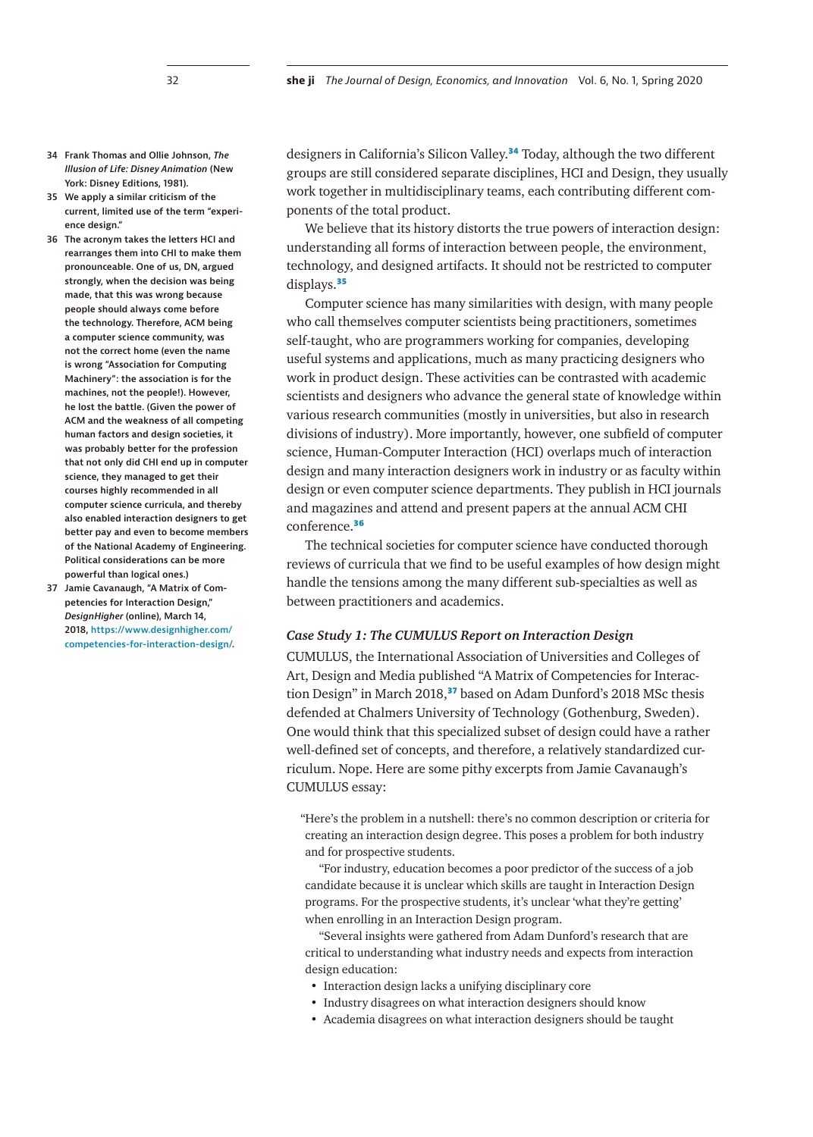- <span id="page-19-0"></span>**34 Frank Thomas and Ollie Johnson,** *The Illusion of Life: Disney Animation* **(New York: Disney Editions, 1981).**
- <span id="page-19-1"></span>**35 We apply a similar criticism of the current, limited use of the term "experience design."**
- <span id="page-19-2"></span>**36 The acronym takes the letters HCI and rearranges them into CHI to make them pronounceable. One of us, DN, argued strongly, when the decision was being made, that this was wrong because people should always come before the technology. Therefore, ACM being a computer science community, was not the correct home (even the name is wrong "Association for Computing Machinery": the association is for the machines, not the people!). However, he lost the battle. (Given the power of ACM and the weakness of all competing human factors and design societies, it was probably better for the profession that not only did CHI end up in computer science, they managed to get their courses highly recommended in all computer science curricula, and thereby also enabled interaction designers to get better pay and even to become members of the National Academy of Engineering. Political considerations can be more powerful than logical ones.)**
- <span id="page-19-3"></span>**37 Jamie Cavanaugh, "A Matrix of Competencies for Interaction Design,"**  *DesignHigher* **(online), March 14, 2018, [https://www.designhigher.com/](https://www.designhigher.com/competencies-for-interaction-design/) [competencies-for-interaction-design/.](https://www.designhigher.com/competencies-for-interaction-design/)**

designers in California's Silicon Valley.**[34](#page-19-0)** Today, although the two different groups are still considered separate disciplines, HCI and Design, they usually work together in multidisciplinary teams, each contributing different components of the total product.

We believe that its history distorts the true powers of interaction design: understanding all forms of interaction between people, the environment, technology, and designed artifacts. It should not be restricted to computer displays.**[35](#page-19-1)**

Computer science has many similarities with design, with many people who call themselves computer scientists being practitioners, sometimes self-taught, who are programmers working for companies, developing useful systems and applications, much as many practicing designers who work in product design. These activities can be contrasted with academic scientists and designers who advance the general state of knowledge within various research communities (mostly in universities, but also in research divisions of industry). More importantly, however, one subfield of computer science, Human-Computer Interaction (HCI) overlaps much of interaction design and many interaction designers work in industry or as faculty within design or even computer science departments. They publish in HCI journals and magazines and attend and present papers at the annual ACM CHI conference.**[36](#page-19-2)**

The technical societies for computer science have conducted thorough reviews of curricula that we find to be useful examples of how design might handle the tensions among the many different sub-specialties as well as between practitioners and academics.

#### *Case Study 1: The CUMULUS Report on Interaction Design*

CUMULUS, the International Association of Universities and Colleges of Art, Design and Media published "A Matrix of Competencies for Interaction Design" in March 2018,**[37](#page-19-3)** based on Adam Dunford's 2018 MSc thesis defended at Chalmers University of Technology (Gothenburg, Sweden). One would think that this specialized subset of design could have a rather well-defined set of concepts, and therefore, a relatively standardized curriculum. Nope. Here are some pithy excerpts from Jamie Cavanaugh's CUMULUS essay:

"Here's the problem in a nutshell: there's no common description or criteria for creating an interaction design degree. This poses a problem for both industry and for prospective students.

"For industry, education becomes a poor predictor of the success of a job candidate because it is unclear which skills are taught in Interaction Design programs. For the prospective students, it's unclear 'what they're getting' when enrolling in an Interaction Design program.

"Several insights were gathered from Adam Dunford's research that are critical to understanding what industry needs and expects from interaction design education:

- Interaction design lacks a unifying disciplinary core
- Industry disagrees on what interaction designers should know
- Academia disagrees on what interaction designers should be taught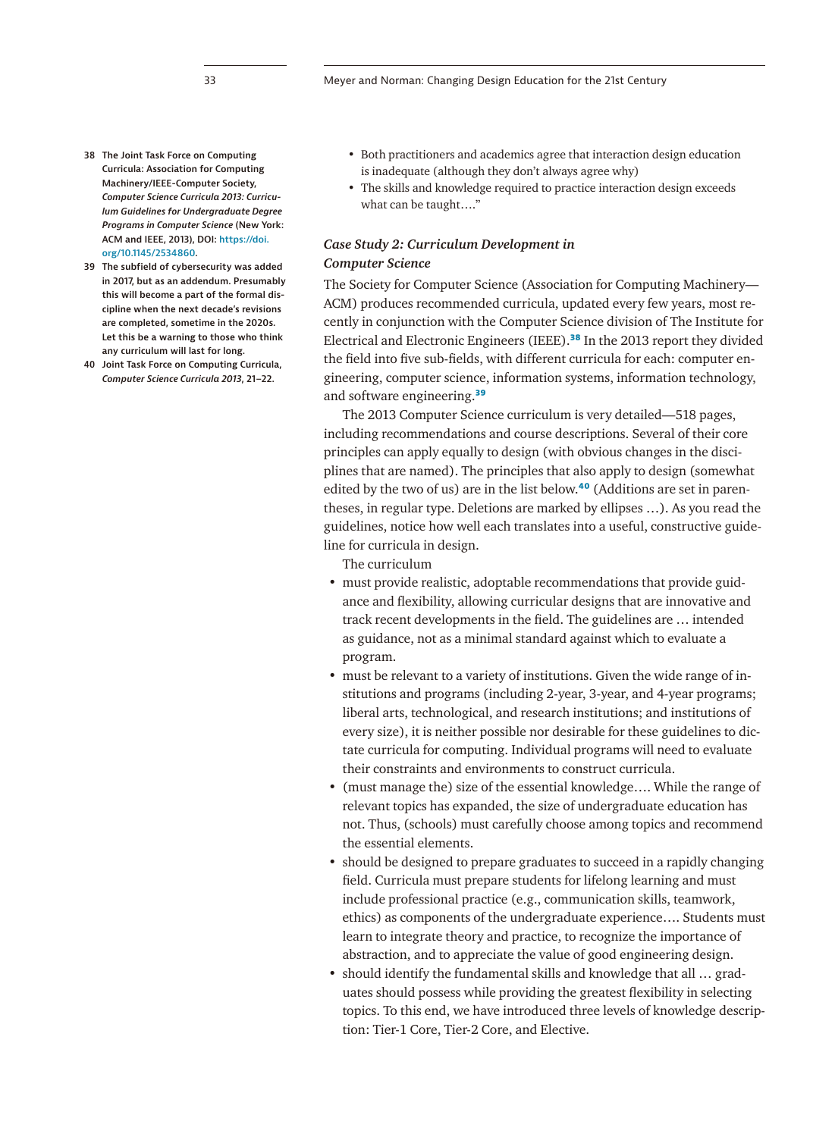- <span id="page-20-0"></span>**38 The Joint Task Force on Computing Curricula: Association for Computing Machinery/IEEE-Computer Society,**  *Computer Science Curricula 2013: Curriculum Guidelines for Undergraduate Degree Programs in Computer Science* **(New York: ACM and IEEE, 2013), DOI: [https://doi.](https://doi.org/10.1145/2534860) [org/10.1145/2534860](https://doi.org/10.1145/2534860).**
- <span id="page-20-1"></span>**39 The subfield of cybersecurity was added in 2017, but as an addendum. Presumably this will become a part of the formal discipline when the next decade's revisions are completed, sometime in the 2020s. Let this be a warning to those who think any curriculum will last for long.**
- <span id="page-20-2"></span>**40 Joint Task Force on Computing Curricula,**  *Computer Science Curricula 2013***, 21–22.**
- Both practitioners and academics agree that interaction design education is inadequate (although they don't always agree why)
- The skills and knowledge required to practice interaction design exceeds what can be taught…."

# *Case Study 2: Curriculum Development in Computer Science*

The Society for Computer Science (Association for Computing Machinery— ACM) produces recommended curricula, updated every few years, most recently in conjunction with the Computer Science division of The Institute for Electrical and Electronic Engineers (IEEE).**[38](#page-20-0)** In the 2013 report they divided the field into five sub-fields, with different curricula for each: computer engineering, computer science, information systems, information technology, and software engineering.**[39](#page-20-1)**

The 2013 Computer Science curriculum is very detailed—518 pages, including recommendations and course descriptions. Several of their core principles can apply equally to design (with obvious changes in the disciplines that are named). The principles that also apply to design (somewhat edited by the two of us) are in the list below.**[40](#page-20-2)** (Additions are set in parentheses, in regular type. Deletions are marked by ellipses …). As you read the guidelines, notice how well each translates into a useful, constructive guideline for curricula in design.

The curriculum

- must provide realistic, adoptable recommendations that provide guidance and flexibility, allowing curricular designs that are innovative and track recent developments in the field. The guidelines are … intended as guidance, not as a minimal standard against which to evaluate a program.
- must be relevant to a variety of institutions. Given the wide range of institutions and programs (including 2-year, 3-year, and 4-year programs; liberal arts, technological, and research institutions; and institutions of every size), it is neither possible nor desirable for these guidelines to dictate curricula for computing. Individual programs will need to evaluate their constraints and environments to construct curricula.
- (must manage the) size of the essential knowledge…. While the range of relevant topics has expanded, the size of undergraduate education has not. Thus, (schools) must carefully choose among topics and recommend the essential elements.
- should be designed to prepare graduates to succeed in a rapidly changing field. Curricula must prepare students for lifelong learning and must include professional practice (e.g., communication skills, teamwork, ethics) as components of the undergraduate experience…. Students must learn to integrate theory and practice, to recognize the importance of abstraction, and to appreciate the value of good engineering design.
- should identify the fundamental skills and knowledge that all … graduates should possess while providing the greatest flexibility in selecting topics. To this end, we have introduced three levels of knowledge description: Tier-1 Core, Tier-2 Core, and Elective.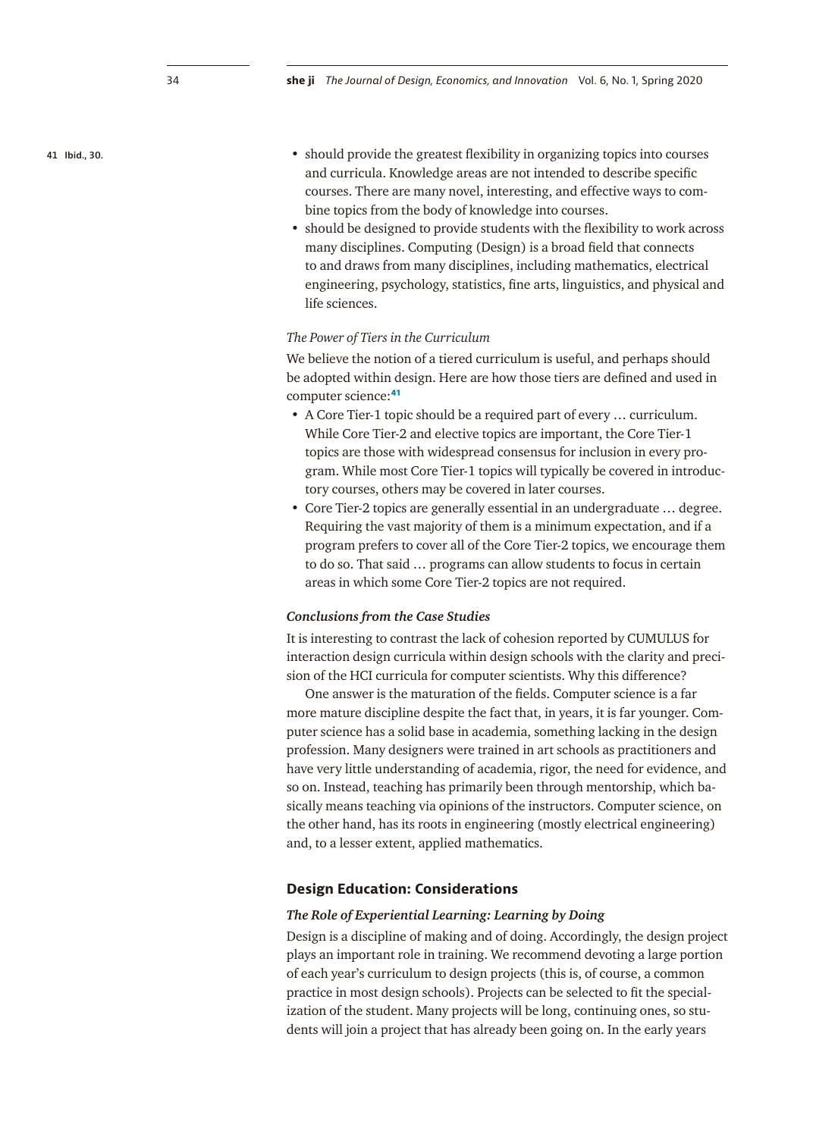<span id="page-21-0"></span>**41 Ibid., 30.**

- should provide the greatest flexibility in organizing topics into courses and curricula. Knowledge areas are not intended to describe specific courses. There are many novel, interesting, and effective ways to combine topics from the body of knowledge into courses.
- should be designed to provide students with the flexibility to work across many disciplines. Computing (Design) is a broad field that connects to and draws from many disciplines, including mathematics, electrical engineering, psychology, statistics, fine arts, linguistics, and physical and life sciences.

#### *The Power of Tiers in the Curriculum*

We believe the notion of a tiered curriculum is useful, and perhaps should be adopted within design. Here are how those tiers are defined and used in computer science:**[41](#page-21-0)**

- A Core Tier-1 topic should be a required part of every … curriculum. While Core Tier-2 and elective topics are important, the Core Tier-1 topics are those with widespread consensus for inclusion in every program. While most Core Tier-1 topics will typically be covered in introductory courses, others may be covered in later courses.
- Core Tier-2 topics are generally essential in an undergraduate … degree. Requiring the vast majority of them is a minimum expectation, and if a program prefers to cover all of the Core Tier-2 topics, we encourage them to do so. That said … programs can allow students to focus in certain areas in which some Core Tier-2 topics are not required.

#### *Conclusions from the Case Studies*

It is interesting to contrast the lack of cohesion reported by CUMULUS for interaction design curricula within design schools with the clarity and precision of the HCI curricula for computer scientists. Why this difference?

One answer is the maturation of the fields. Computer science is a far more mature discipline despite the fact that, in years, it is far younger. Computer science has a solid base in academia, something lacking in the design profession. Many designers were trained in art schools as practitioners and have very little understanding of academia, rigor, the need for evidence, and so on. Instead, teaching has primarily been through mentorship, which basically means teaching via opinions of the instructors. Computer science, on the other hand, has its roots in engineering (mostly electrical engineering) and, to a lesser extent, applied mathematics.

## **Design Education: Considerations**

#### *The Role of Experiential Learning: Learning by Doing*

Design is a discipline of making and of doing. Accordingly, the design project plays an important role in training. We recommend devoting a large portion of each year's curriculum to design projects (this is, of course, a common practice in most design schools). Projects can be selected to fit the specialization of the student. Many projects will be long, continuing ones, so students will join a project that has already been going on. In the early years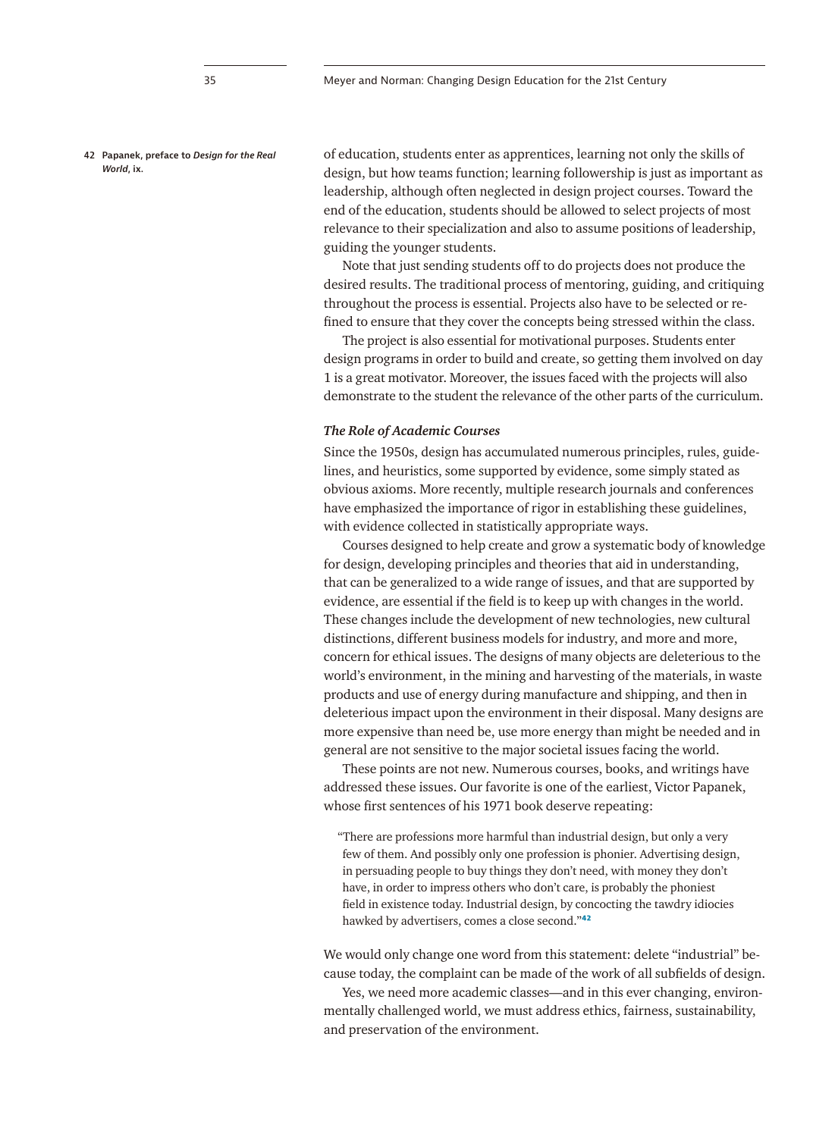<span id="page-22-0"></span>**42 Papanek, preface to** *Design for the Real World***, ix.**

of education, students enter as apprentices, learning not only the skills of design, but how teams function; learning followership is just as important as leadership, although often neglected in design project courses. Toward the end of the education, students should be allowed to select projects of most relevance to their specialization and also to assume positions of leadership, guiding the younger students.

Note that just sending students off to do projects does not produce the desired results. The traditional process of mentoring, guiding, and critiquing throughout the process is essential. Projects also have to be selected or refined to ensure that they cover the concepts being stressed within the class.

The project is also essential for motivational purposes. Students enter design programs in order to build and create, so getting them involved on day 1 is a great motivator. Moreover, the issues faced with the projects will also demonstrate to the student the relevance of the other parts of the curriculum.

#### *The Role of Academic Courses*

Since the 1950s, design has accumulated numerous principles, rules, guidelines, and heuristics, some supported by evidence, some simply stated as obvious axioms. More recently, multiple research journals and conferences have emphasized the importance of rigor in establishing these guidelines, with evidence collected in statistically appropriate ways.

Courses designed to help create and grow a systematic body of knowledge for design, developing principles and theories that aid in understanding, that can be generalized to a wide range of issues, and that are supported by evidence, are essential if the field is to keep up with changes in the world. These changes include the development of new technologies, new cultural distinctions, different business models for industry, and more and more, concern for ethical issues. The designs of many objects are deleterious to the world's environment, in the mining and harvesting of the materials, in waste products and use of energy during manufacture and shipping, and then in deleterious impact upon the environment in their disposal. Many designs are more expensive than need be, use more energy than might be needed and in general are not sensitive to the major societal issues facing the world.

These points are not new. Numerous courses, books, and writings have addressed these issues. Our favorite is one of the earliest, Victor Papanek, whose first sentences of his 1971 book deserve repeating:

"There are professions more harmful than industrial design, but only a very few of them. And possibly only one profession is phonier. Advertising design, in persuading people to buy things they don't need, with money they don't have, in order to impress others who don't care, is probably the phoniest field in existence today. Industrial design, by concocting the tawdry idiocies hawked by advertisers, comes a close second."**[42](#page-22-0)**

We would only change one word from this statement: delete "industrial" because today, the complaint can be made of the work of all subfields of design.

Yes, we need more academic classes—and in this ever changing, environmentally challenged world, we must address ethics, fairness, sustainability, and preservation of the environment.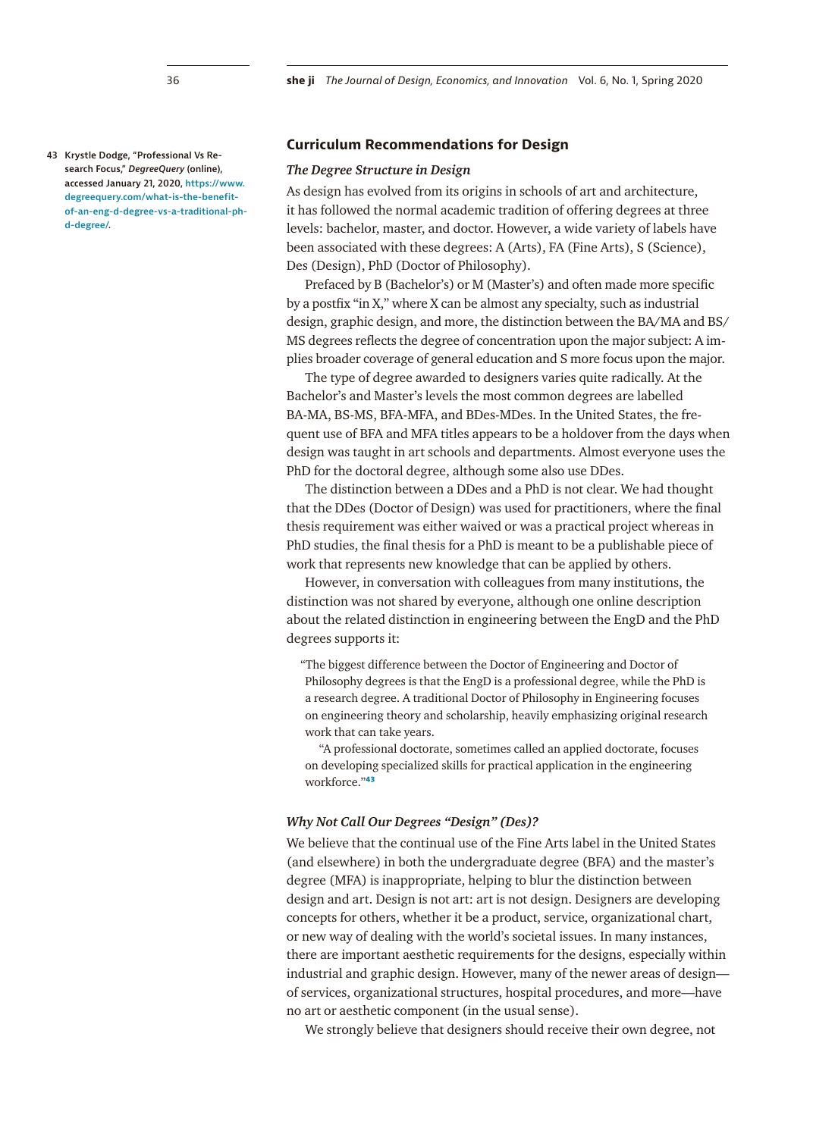<span id="page-23-0"></span>**43 Krystle Dodge, "Professional Vs Research Focus,"** *DegreeQuery* **(online), accessed January 21, 2020, [https://www.](https://www.degreequery.com/what-is-the-benefit-of-an-eng-d-degree-vs-a-traditional-ph-d-degree/) [degreequery.com/what-is-the-benefit](https://www.degreequery.com/what-is-the-benefit-of-an-eng-d-degree-vs-a-traditional-ph-d-degree/)[of-an-eng-d-degree-vs-a-traditional-ph](https://www.degreequery.com/what-is-the-benefit-of-an-eng-d-degree-vs-a-traditional-ph-d-degree/)[d-degree/.](https://www.degreequery.com/what-is-the-benefit-of-an-eng-d-degree-vs-a-traditional-ph-d-degree/)**

# **Curriculum Recommendations for Design**

#### *The Degree Structure in Design*

As design has evolved from its origins in schools of art and architecture, it has followed the normal academic tradition of offering degrees at three levels: bachelor, master, and doctor. However, a wide variety of labels have been associated with these degrees: A (Arts), FA (Fine Arts), S (Science), Des (Design), PhD (Doctor of Philosophy).

Prefaced by B (Bachelor's) or M (Master's) and often made more specific by a postfix "in X," where X can be almost any specialty, such as industrial design, graphic design, and more, the distinction between the BA/MA and BS/ MS degrees reflects the degree of concentration upon the major subject: A implies broader coverage of general education and S more focus upon the major.

The type of degree awarded to designers varies quite radically. At the Bachelor's and Master's levels the most common degrees are labelled BA-MA, BS-MS, BFA-MFA, and BDes-MDes. In the United States, the frequent use of BFA and MFA titles appears to be a holdover from the days when design was taught in art schools and departments. Almost everyone uses the PhD for the doctoral degree, although some also use DDes.

The distinction between a DDes and a PhD is not clear. We had thought that the DDes (Doctor of Design) was used for practitioners, where the final thesis requirement was either waived or was a practical project whereas in PhD studies, the final thesis for a PhD is meant to be a publishable piece of work that represents new knowledge that can be applied by others.

However, in conversation with colleagues from many institutions, the distinction was not shared by everyone, although one online description about the related distinction in engineering between the EngD and the PhD degrees supports it:

"The biggest difference between the Doctor of Engineering and Doctor of Philosophy degrees is that the EngD is a professional degree, while the PhD is a research degree. A traditional Doctor of Philosophy in Engineering focuses on engineering theory and scholarship, heavily emphasizing original research work that can take years.

"A professional doctorate, sometimes called an applied doctorate, focuses on developing specialized skills for practical application in the engineering workforce."**[43](#page-23-0)**

#### *Why Not Call Our Degrees "Design" (Des)?*

We believe that the continual use of the Fine Arts label in the United States (and elsewhere) in both the undergraduate degree (BFA) and the master's degree (MFA) is inappropriate, helping to blur the distinction between design and art. Design is not art: art is not design. Designers are developing concepts for others, whether it be a product, service, organizational chart, or new way of dealing with the world's societal issues. In many instances, there are important aesthetic requirements for the designs, especially within industrial and graphic design. However, many of the newer areas of design of services, organizational structures, hospital procedures, and more—have no art or aesthetic component (in the usual sense).

We strongly believe that designers should receive their own degree, not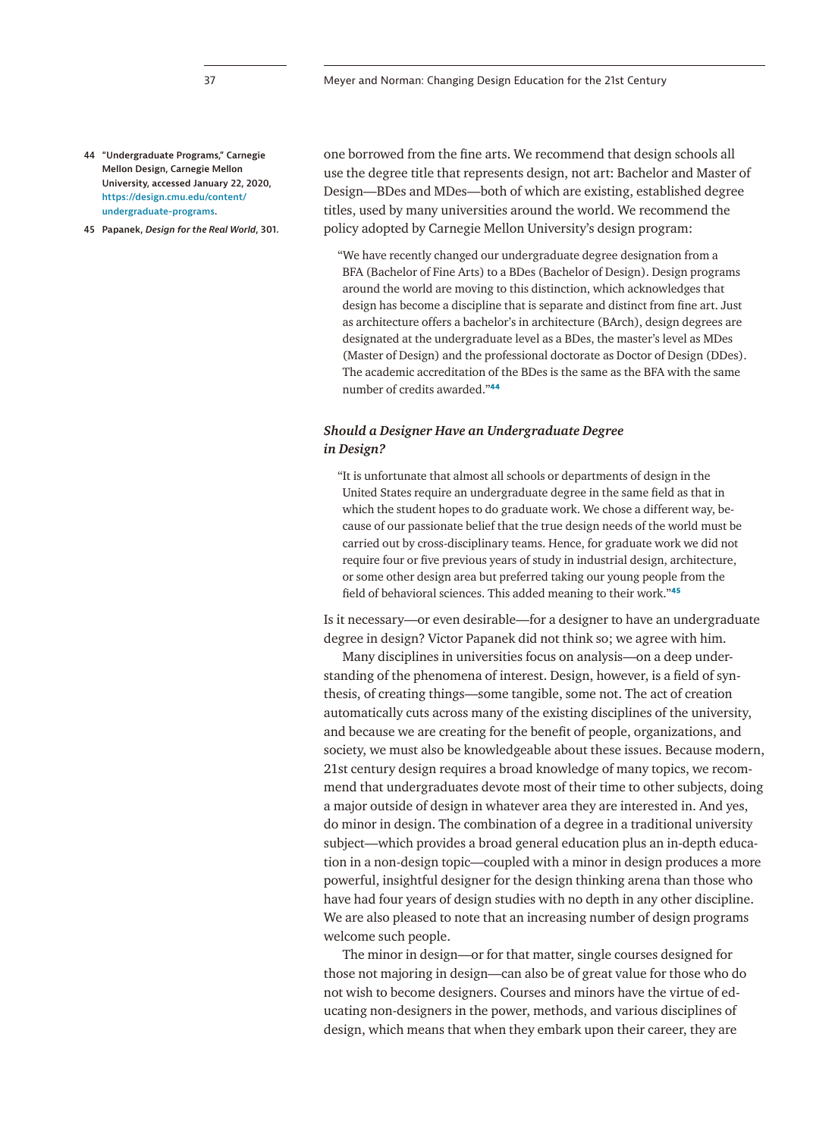- <span id="page-24-0"></span>**44 "Undergraduate Programs," Carnegie Mellon Design, Carnegie Mellon University, accessed January 22, 2020, [https://design.cmu.edu/content/](https://design.cmu.edu/content/undergraduate-programs) [undergraduate-programs.](https://design.cmu.edu/content/undergraduate-programs)**
- <span id="page-24-1"></span>**45 Papanek,** *Design for the Real World***, 301.**

one borrowed from the fine arts. We recommend that design schools all use the degree title that represents design, not art: Bachelor and Master of Design—BDes and MDes—both of which are existing, established degree titles, used by many universities around the world. We recommend the policy adopted by Carnegie Mellon University's design program:

"We have recently changed our undergraduate degree designation from a BFA (Bachelor of Fine Arts) to a BDes (Bachelor of Design). Design programs around the world are moving to this distinction, which acknowledges that design has become a discipline that is separate and distinct from fine art. Just as architecture offers a bachelor's in architecture (BArch), design degrees are designated at the undergraduate level as a BDes, the master's level as MDes (Master of Design) and the professional doctorate as Doctor of Design (DDes). The academic accreditation of the BDes is the same as the BFA with the same number of credits awarded."**[44](#page-24-0)**

# *Should a Designer Have an Undergraduate Degree in Design?*

"It is unfortunate that almost all schools or departments of design in the United States require an undergraduate degree in the same field as that in which the student hopes to do graduate work. We chose a different way, because of our passionate belief that the true design needs of the world must be carried out by cross-disciplinary teams. Hence, for graduate work we did not require four or five previous years of study in industrial design, architecture, or some other design area but preferred taking our young people from the field of behavioral sciences. This added meaning to their work."**[45](#page-24-1)**

Is it necessary—or even desirable—for a designer to have an undergraduate degree in design? Victor Papanek did not think so; we agree with him.

Many disciplines in universities focus on analysis—on a deep understanding of the phenomena of interest. Design, however, is a field of synthesis, of creating things—some tangible, some not. The act of creation automatically cuts across many of the existing disciplines of the university, and because we are creating for the benefit of people, organizations, and society, we must also be knowledgeable about these issues. Because modern, 21st century design requires a broad knowledge of many topics, we recommend that undergraduates devote most of their time to other subjects, doing a major outside of design in whatever area they are interested in. And yes, do minor in design. The combination of a degree in a traditional university subject—which provides a broad general education plus an in-depth education in a non-design topic—coupled with a minor in design produces a more powerful, insightful designer for the design thinking arena than those who have had four years of design studies with no depth in any other discipline. We are also pleased to note that an increasing number of design programs welcome such people.

The minor in design—or for that matter, single courses designed for those not majoring in design—can also be of great value for those who do not wish to become designers. Courses and minors have the virtue of educating non-designers in the power, methods, and various disciplines of design, which means that when they embark upon their career, they are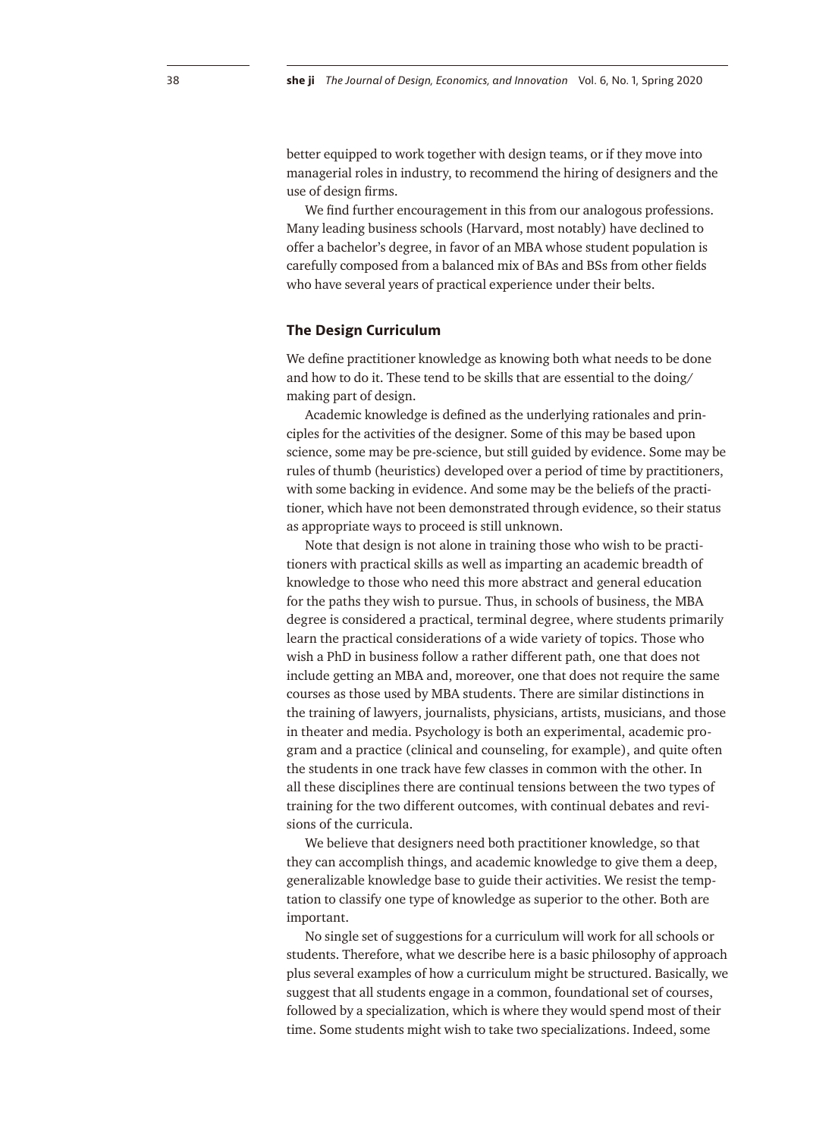better equipped to work together with design teams, or if they move into managerial roles in industry, to recommend the hiring of designers and the use of design firms.

We find further encouragement in this from our analogous professions. Many leading business schools (Harvard, most notably) have declined to offer a bachelor's degree, in favor of an MBA whose student population is carefully composed from a balanced mix of BAs and BSs from other fields who have several years of practical experience under their belts.

# **The Design Curriculum**

We define practitioner knowledge as knowing both what needs to be done and how to do it. These tend to be skills that are essential to the doing/ making part of design.

Academic knowledge is defined as the underlying rationales and principles for the activities of the designer. Some of this may be based upon science, some may be pre-science, but still guided by evidence. Some may be rules of thumb (heuristics) developed over a period of time by practitioners, with some backing in evidence. And some may be the beliefs of the practitioner, which have not been demonstrated through evidence, so their status as appropriate ways to proceed is still unknown.

Note that design is not alone in training those who wish to be practitioners with practical skills as well as imparting an academic breadth of knowledge to those who need this more abstract and general education for the paths they wish to pursue. Thus, in schools of business, the MBA degree is considered a practical, terminal degree, where students primarily learn the practical considerations of a wide variety of topics. Those who wish a PhD in business follow a rather different path, one that does not include getting an MBA and, moreover, one that does not require the same courses as those used by MBA students. There are similar distinctions in the training of lawyers, journalists, physicians, artists, musicians, and those in theater and media. Psychology is both an experimental, academic program and a practice (clinical and counseling, for example), and quite often the students in one track have few classes in common with the other. In all these disciplines there are continual tensions between the two types of training for the two different outcomes, with continual debates and revisions of the curricula.

We believe that designers need both practitioner knowledge, so that they can accomplish things, and academic knowledge to give them a deep, generalizable knowledge base to guide their activities. We resist the temptation to classify one type of knowledge as superior to the other. Both are important.

No single set of suggestions for a curriculum will work for all schools or students. Therefore, what we describe here is a basic philosophy of approach plus several examples of how a curriculum might be structured. Basically, we suggest that all students engage in a common, foundational set of courses, followed by a specialization, which is where they would spend most of their time. Some students might wish to take two specializations. Indeed, some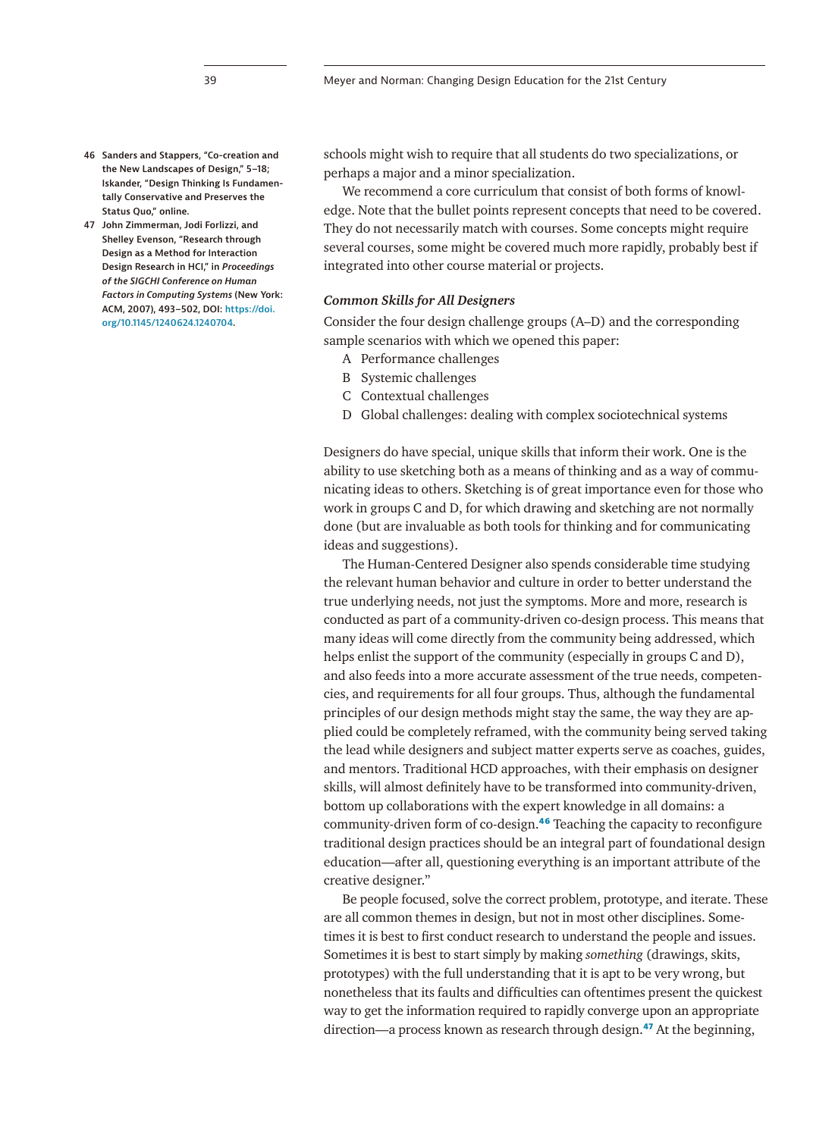**46 Sanders and Stappers, "Co-creation and** 

<span id="page-26-0"></span>**the New Landscapes of Design," 5–18; Iskander, "Design Thinking Is Fundamentally Conservative and Preserves the Status Quo," online.**

<span id="page-26-1"></span>**47 John Zimmerman, Jodi Forlizzi, and Shelley Evenson, "Research through Design as a Method for Interaction Design Research in HCI," in** *Proceedings of the SIGCHI Conference on Human Factors in Computing Systems* **(New York: ACM, 2007), 493–502, DOI: [https://doi.](https://doi.org/10.1145/1240624.1240704) [org/10.1145/1240624.1240704.](https://doi.org/10.1145/1240624.1240704)**

schools might wish to require that all students do two specializations, or perhaps a major and a minor specialization.

We recommend a core curriculum that consist of both forms of knowledge. Note that the bullet points represent concepts that need to be covered. They do not necessarily match with courses. Some concepts might require several courses, some might be covered much more rapidly, probably best if integrated into other course material or projects.

#### *Common Skills for All Designers*

Consider the four design challenge groups (A–D) and the corresponding sample scenarios with which we opened this paper:

- A Performance challenges
- B Systemic challenges
- C Contextual challenges
- D Global challenges: dealing with complex sociotechnical systems

Designers do have special, unique skills that inform their work. One is the ability to use sketching both as a means of thinking and as a way of communicating ideas to others. Sketching is of great importance even for those who work in groups C and D, for which drawing and sketching are not normally done (but are invaluable as both tools for thinking and for communicating ideas and suggestions).

The Human-Centered Designer also spends considerable time studying the relevant human behavior and culture in order to better understand the true underlying needs, not just the symptoms. More and more, research is conducted as part of a community-driven co-design process. This means that many ideas will come directly from the community being addressed, which helps enlist the support of the community (especially in groups C and D), and also feeds into a more accurate assessment of the true needs, competencies, and requirements for all four groups. Thus, although the fundamental principles of our design methods might stay the same, the way they are applied could be completely reframed, with the community being served taking the lead while designers and subject matter experts serve as coaches, guides, and mentors. Traditional HCD approaches, with their emphasis on designer skills, will almost definitely have to be transformed into community-driven, bottom up collaborations with the expert knowledge in all domains: a community-driven form of co-design.**[46](#page-26-0)** Teaching the capacity to reconfigure traditional design practices should be an integral part of foundational design education—after all, questioning everything is an important attribute of the creative designer."

Be people focused, solve the correct problem, prototype, and iterate. These are all common themes in design, but not in most other disciplines. Sometimes it is best to first conduct research to understand the people and issues. Sometimes it is best to start simply by making *something* (drawings, skits, prototypes) with the full understanding that it is apt to be very wrong, but nonetheless that its faults and difficulties can oftentimes present the quickest way to get the information required to rapidly converge upon an appropriate direction—a process known as research through design.**[47](#page-26-1)** At the beginning,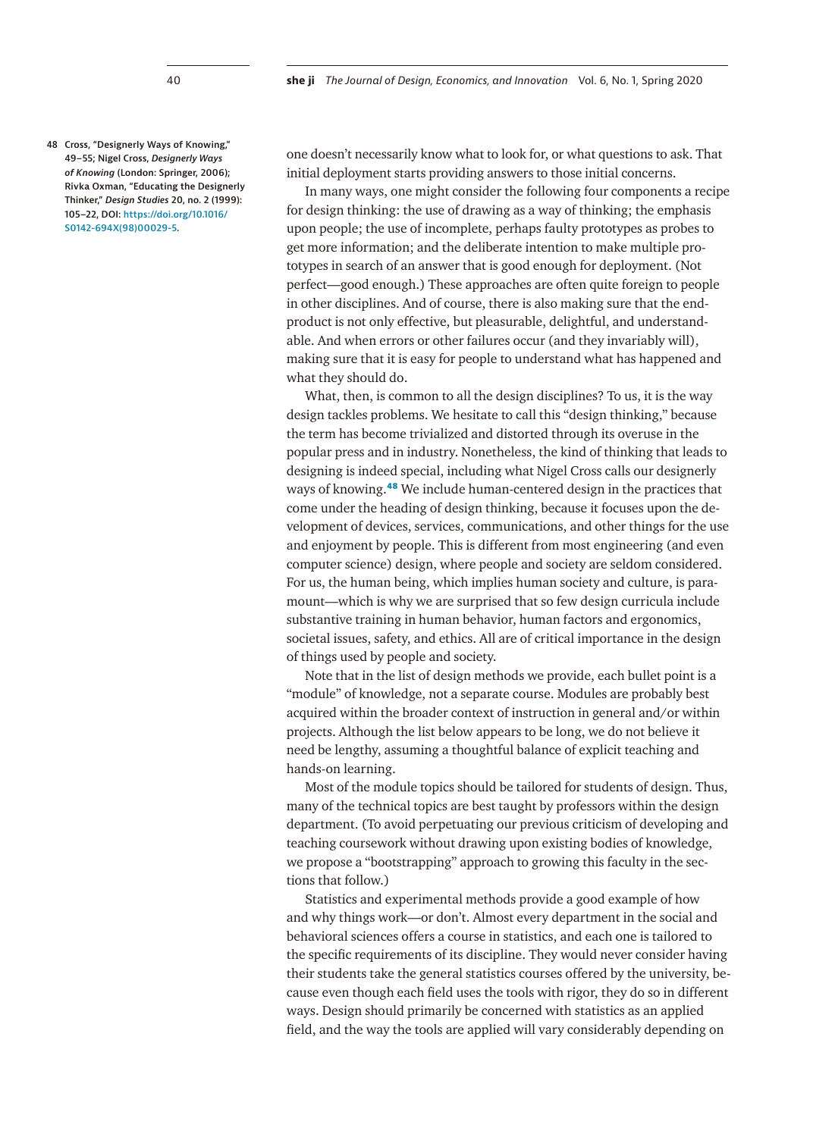<span id="page-27-0"></span>**48 Cross, "Designerly Ways of Knowing," 49–55; Nigel Cross,** *Designerly Ways of Knowing* **(London: Springer, 2006); Rivka Oxman, "Educating the Designerly Thinker,"** *Design Studies* **20, no. 2 (1999): 105–22, DOI: [https://doi.org/10.1016/](https://doi.org/10.1016/S0142-694X(98)00029-5) [S0142-694X\(98\)00029-5](https://doi.org/10.1016/S0142-694X(98)00029-5).**

one doesn't necessarily know what to look for, or what questions to ask. That initial deployment starts providing answers to those initial concerns.

In many ways, one might consider the following four components a recipe for design thinking: the use of drawing as a way of thinking; the emphasis upon people; the use of incomplete, perhaps faulty prototypes as probes to get more information; and the deliberate intention to make multiple prototypes in search of an answer that is good enough for deployment. (Not perfect—good enough.) These approaches are often quite foreign to people in other disciplines. And of course, there is also making sure that the endproduct is not only effective, but pleasurable, delightful, and understandable. And when errors or other failures occur (and they invariably will), making sure that it is easy for people to understand what has happened and what they should do.

What, then, is common to all the design disciplines? To us, it is the way design tackles problems. We hesitate to call this "design thinking," because the term has become trivialized and distorted through its overuse in the popular press and in industry. Nonetheless, the kind of thinking that leads to designing is indeed special, including what Nigel Cross calls our designerly ways of knowing.**[48](#page-27-0)** We include human-centered design in the practices that come under the heading of design thinking, because it focuses upon the development of devices, services, communications, and other things for the use and enjoyment by people. This is different from most engineering (and even computer science) design, where people and society are seldom considered. For us, the human being, which implies human society and culture, is paramount—which is why we are surprised that so few design curricula include substantive training in human behavior, human factors and ergonomics, societal issues, safety, and ethics. All are of critical importance in the design of things used by people and society.

Note that in the list of design methods we provide, each bullet point is a "module" of knowledge, not a separate course. Modules are probably best acquired within the broader context of instruction in general and/or within projects. Although the list below appears to be long, we do not believe it need be lengthy, assuming a thoughtful balance of explicit teaching and hands-on learning.

Most of the module topics should be tailored for students of design. Thus, many of the technical topics are best taught by professors within the design department. (To avoid perpetuating our previous criticism of developing and teaching coursework without drawing upon existing bodies of knowledge, we propose a "bootstrapping" approach to growing this faculty in the sections that follow.)

Statistics and experimental methods provide a good example of how and why things work—or don't. Almost every department in the social and behavioral sciences offers a course in statistics, and each one is tailored to the specific requirements of its discipline. They would never consider having their students take the general statistics courses offered by the university, because even though each field uses the tools with rigor, they do so in different ways. Design should primarily be concerned with statistics as an applied field, and the way the tools are applied will vary considerably depending on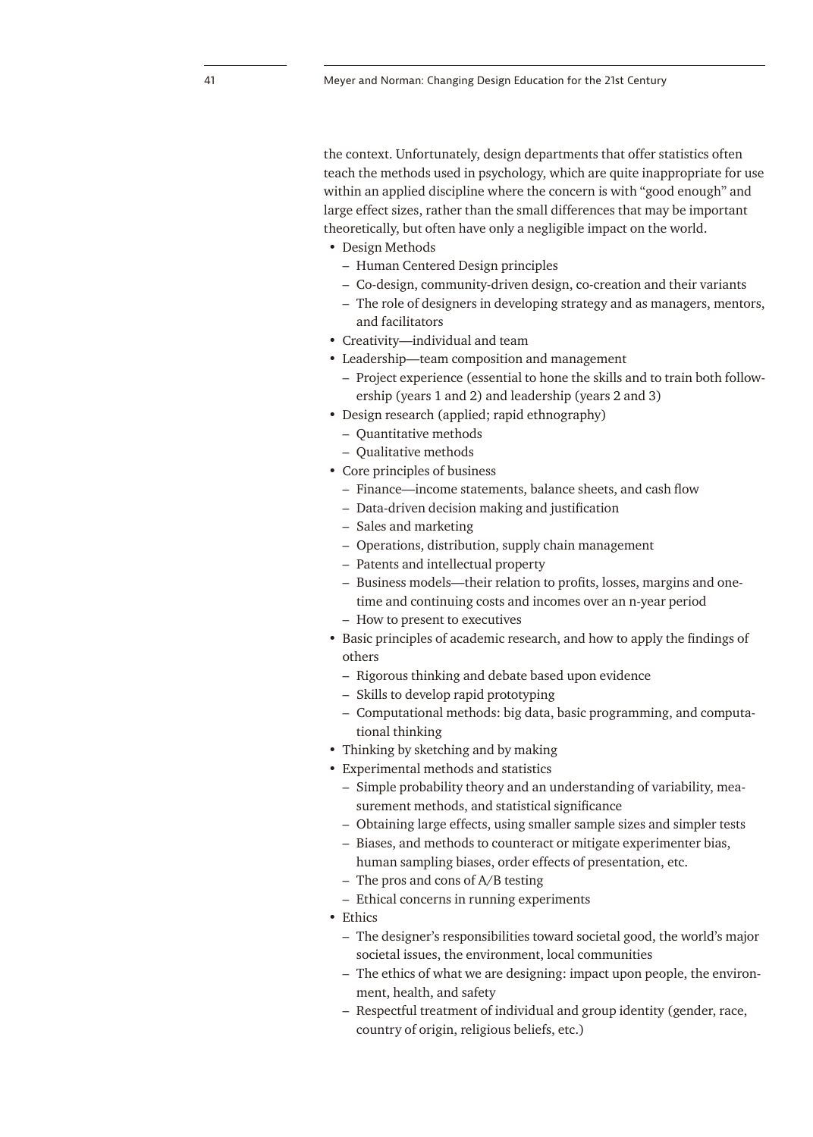the context. Unfortunately, design departments that offer statistics often teach the methods used in psychology, which are quite inappropriate for use within an applied discipline where the concern is with "good enough" and large effect sizes, rather than the small differences that may be important theoretically, but often have only a negligible impact on the world.

- Design Methods
	- Human Centered Design principles
	- Co-design, community-driven design, co-creation and their variants
	- The role of designers in developing strategy and as managers, mentors, and facilitators
- Creativity—individual and team
- Leadership—team composition and management
	- Project experience (essential to hone the skills and to train both followership (years 1 and 2) and leadership (years 2 and 3)
- Design research (applied; rapid ethnography)
	- Quantitative methods
	- Qualitative methods
- Core principles of business
	- Finance—income statements, balance sheets, and cash flow
	- Data-driven decision making and justification
	- Sales and marketing
	- Operations, distribution, supply chain management
	- Patents and intellectual property
	- Business models—their relation to profits, losses, margins and onetime and continuing costs and incomes over an n-year period
	- How to present to executives
- Basic principles of academic research, and how to apply the findings of others
	- Rigorous thinking and debate based upon evidence
	- Skills to develop rapid prototyping
	- Computational methods: big data, basic programming, and computational thinking
- Thinking by sketching and by making
- Experimental methods and statistics
	- Simple probability theory and an understanding of variability, measurement methods, and statistical significance
	- Obtaining large effects, using smaller sample sizes and simpler tests
	- Biases, and methods to counteract or mitigate experimenter bias, human sampling biases, order effects of presentation, etc.
	- The pros and cons of A/B testing
	- Ethical concerns in running experiments
- Ethics
	- The designer's responsibilities toward societal good, the world's major societal issues, the environment, local communities
	- The ethics of what we are designing: impact upon people, the environment, health, and safety
	- Respectful treatment of individual and group identity (gender, race, country of origin, religious beliefs, etc.)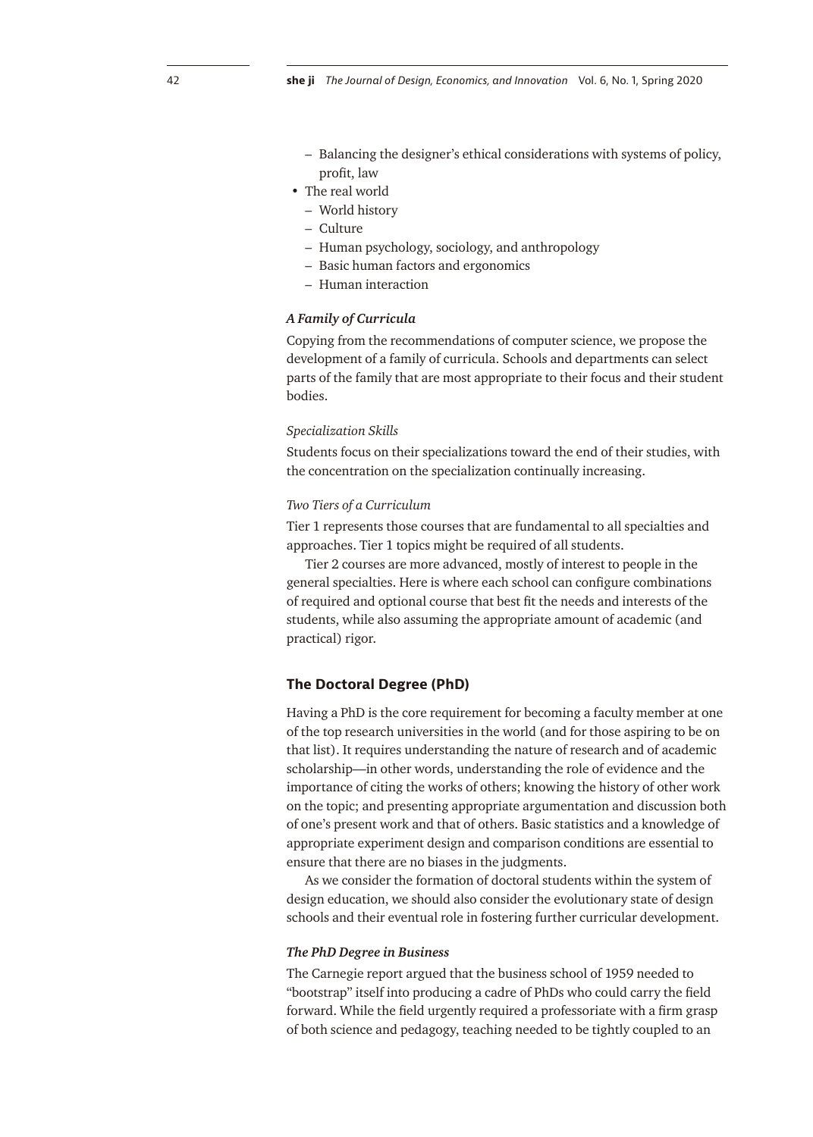- Balancing the designer's ethical considerations with systems of policy, profit, law
- The real world
	- World history
	- Culture
	- Human psychology, sociology, and anthropology
	- Basic human factors and ergonomics
	- Human interaction

## *A Family of Curricula*

Copying from the recommendations of computer science, we propose the development of a family of curricula. Schools and departments can select parts of the family that are most appropriate to their focus and their student bodies.

#### *Specialization Skills*

Students focus on their specializations toward the end of their studies, with the concentration on the specialization continually increasing.

## *Two Tiers of a Curriculum*

Tier 1 represents those courses that are fundamental to all specialties and approaches. Tier 1 topics might be required of all students.

Tier 2 courses are more advanced, mostly of interest to people in the general specialties. Here is where each school can configure combinations of required and optional course that best fit the needs and interests of the students, while also assuming the appropriate amount of academic (and practical) rigor.

## **The Doctoral Degree (PhD)**

Having a PhD is the core requirement for becoming a faculty member at one of the top research universities in the world (and for those aspiring to be on that list). It requires understanding the nature of research and of academic scholarship—in other words, understanding the role of evidence and the importance of citing the works of others; knowing the history of other work on the topic; and presenting appropriate argumentation and discussion both of one's present work and that of others. Basic statistics and a knowledge of appropriate experiment design and comparison conditions are essential to ensure that there are no biases in the judgments.

As we consider the formation of doctoral students within the system of design education, we should also consider the evolutionary state of design schools and their eventual role in fostering further curricular development.

#### *The PhD Degree in Business*

The Carnegie report argued that the business school of 1959 needed to "bootstrap" itself into producing a cadre of PhDs who could carry the field forward. While the field urgently required a professoriate with a firm grasp of both science and pedagogy, teaching needed to be tightly coupled to an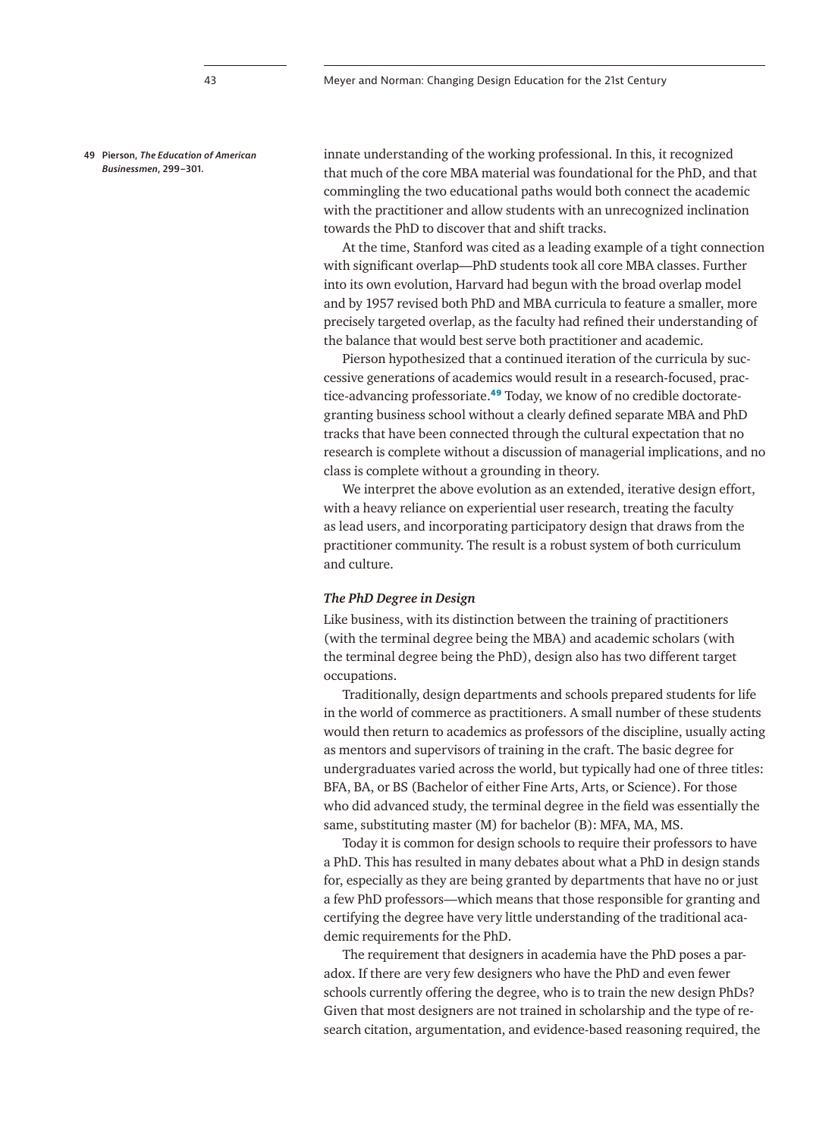<span id="page-30-0"></span>**49 Pierson,** *The Education of American Businessmen***, 299–301.**

innate understanding of the working professional. In this, it recognized that much of the core MBA material was foundational for the PhD, and that commingling the two educational paths would both connect the academic with the practitioner and allow students with an unrecognized inclination towards the PhD to discover that and shift tracks.

At the time, Stanford was cited as a leading example of a tight connection with significant overlap—PhD students took all core MBA classes. Further into its own evolution, Harvard had begun with the broad overlap model and by 1957 revised both PhD and MBA curricula to feature a smaller, more precisely targeted overlap, as the faculty had refined their understanding of the balance that would best serve both practitioner and academic.

Pierson hypothesized that a continued iteration of the curricula by successive generations of academics would result in a research-focused, practice-advancing professoriate.**[49](#page-30-0)** Today, we know of no credible doctorategranting business school without a clearly defined separate MBA and PhD tracks that have been connected through the cultural expectation that no research is complete without a discussion of managerial implications, and no class is complete without a grounding in theory.

We interpret the above evolution as an extended, iterative design effort, with a heavy reliance on experiential user research, treating the faculty as lead users, and incorporating participatory design that draws from the practitioner community. The result is a robust system of both curriculum and culture.

#### *The PhD Degree in Design*

Like business, with its distinction between the training of practitioners (with the terminal degree being the MBA) and academic scholars (with the terminal degree being the PhD), design also has two different target occupations.

Traditionally, design departments and schools prepared students for life in the world of commerce as practitioners. A small number of these students would then return to academics as professors of the discipline, usually acting as mentors and supervisors of training in the craft. The basic degree for undergraduates varied across the world, but typically had one of three titles: BFA, BA, or BS (Bachelor of either Fine Arts, Arts, or Science). For those who did advanced study, the terminal degree in the field was essentially the same, substituting master (M) for bachelor (B): MFA, MA, MS.

Today it is common for design schools to require their professors to have a PhD. This has resulted in many debates about what a PhD in design stands for, especially as they are being granted by departments that have no or just a few PhD professors—which means that those responsible for granting and certifying the degree have very little understanding of the traditional academic requirements for the PhD.

The requirement that designers in academia have the PhD poses a paradox. If there are very few designers who have the PhD and even fewer schools currently offering the degree, who is to train the new design PhDs? Given that most designers are not trained in scholarship and the type of research citation, argumentation, and evidence-based reasoning required, the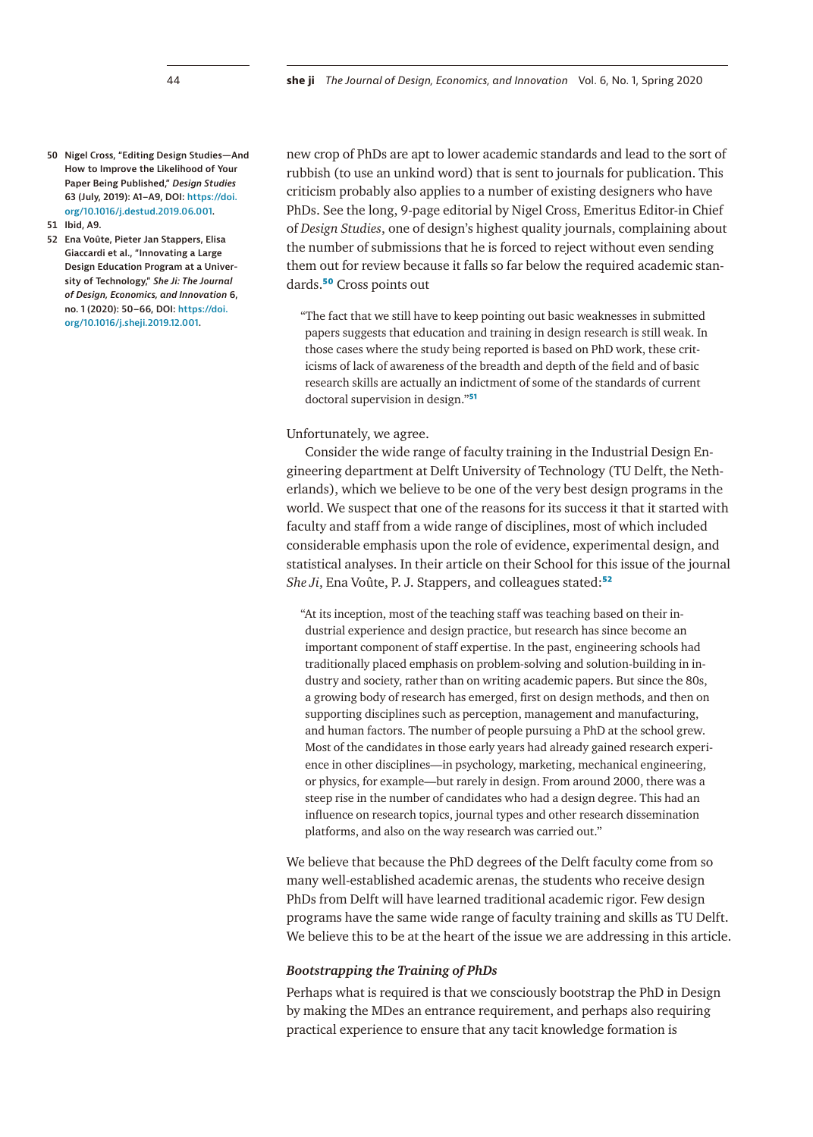- <span id="page-31-0"></span>**50 Nigel Cross, "Editing Design Studies—And How to Improve the Likelihood of Your Paper Being Published,"** *Design Studies* **63 (July, 2019): A1–A9, DOI: [https://doi.](https://doi.org/10.1016/j.destud.2019.06.001) [org/10.1016/j.destud.2019.06.001](https://doi.org/10.1016/j.destud.2019.06.001).**
- <span id="page-31-1"></span>**51 Ibid, A9.**
- <span id="page-31-2"></span>**52 Ena Voûte, Pieter Jan Stappers, Elisa Giaccardi et al., "Innovating a Large Design Education Program at a University of Technology,"** *She Ji: The Journal of Design, Economics, and Innovation* **6, no. 1 (2020): 50–66, DOI: [https://doi.](https://doi.org/10.1016/j.sheji.2019.12.001) [org/10.1016/j.sheji.2019.12.001.](https://doi.org/10.1016/j.sheji.2019.12.001)**

new crop of PhDs are apt to lower academic standards and lead to the sort of rubbish (to use an unkind word) that is sent to journals for publication. This criticism probably also applies to a number of existing designers who have PhDs. See the long, 9-page editorial by Nigel Cross, Emeritus Editor-in Chief of *Design Studies*, one of design's highest quality journals, complaining about the number of submissions that he is forced to reject without even sending them out for review because it falls so far below the required academic standards.**[50](#page-31-0)** Cross points out

"The fact that we still have to keep pointing out basic weaknesses in submitted papers suggests that education and training in design research is still weak. In those cases where the study being reported is based on PhD work, these criticisms of lack of awareness of the breadth and depth of the field and of basic research skills are actually an indictment of some of the standards of current doctoral supervision in design."**[51](#page-31-1)**

Unfortunately, we agree.

Consider the wide range of faculty training in the Industrial Design Engineering department at Delft University of Technology (TU Delft, the Netherlands), which we believe to be one of the very best design programs in the world. We suspect that one of the reasons for its success it that it started with faculty and staff from a wide range of disciplines, most of which included considerable emphasis upon the role of evidence, experimental design, and statistical analyses. In their article on their School for this issue of the journal *She Ji*, Ena Voûte, P. J. Stappers, and colleagues stated:**[52](#page-31-2)**

"At its inception, most of the teaching staff was teaching based on their industrial experience and design practice, but research has since become an important component of staff expertise. In the past, engineering schools had traditionally placed emphasis on problem-solving and solution-building in industry and society, rather than on writing academic papers. But since the 80s, a growing body of research has emerged, first on design methods, and then on supporting disciplines such as perception, management and manufacturing, and human factors. The number of people pursuing a PhD at the school grew. Most of the candidates in those early years had already gained research experience in other disciplines—in psychology, marketing, mechanical engineering, or physics, for example—but rarely in design. From around 2000, there was a steep rise in the number of candidates who had a design degree. This had an influence on research topics, journal types and other research dissemination platforms, and also on the way research was carried out."

We believe that because the PhD degrees of the Delft faculty come from so many well-established academic arenas, the students who receive design PhDs from Delft will have learned traditional academic rigor. Few design programs have the same wide range of faculty training and skills as TU Delft. We believe this to be at the heart of the issue we are addressing in this article.

#### *Bootstrapping the Training of PhDs*

Perhaps what is required is that we consciously bootstrap the PhD in Design by making the MDes an entrance requirement, and perhaps also requiring practical experience to ensure that any tacit knowledge formation is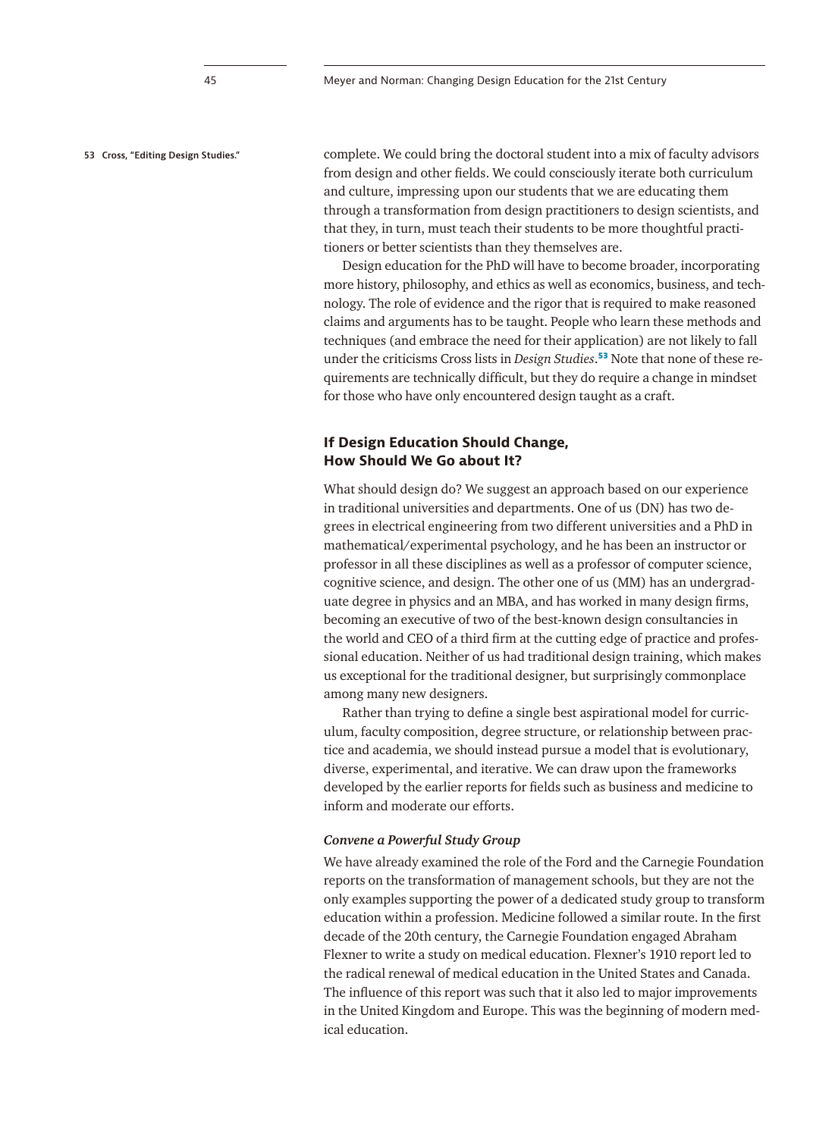<span id="page-32-0"></span>

**<sup>53</sup> Cross, "Editing Design Studies."** complete. We could bring the doctoral student into a mix of faculty advisors from design and other fields. We could consciously iterate both curriculum and culture, impressing upon our students that we are educating them through a transformation from design practitioners to design scientists, and that they, in turn, must teach their students to be more thoughtful practitioners or better scientists than they themselves are.

> Design education for the PhD will have to become broader, incorporating more history, philosophy, and ethics as well as economics, business, and technology. The role of evidence and the rigor that is required to make reasoned claims and arguments has to be taught. People who learn these methods and techniques (and embrace the need for their application) are not likely to fall under the criticisms Cross lists in *Design Studies*.**[53](#page-32-0)** Note that none of these requirements are technically difficult, but they do require a change in mindset for those who have only encountered design taught as a craft.

# **If Design Education Should Change, How Should We Go about It?**

What should design do? We suggest an approach based on our experience in traditional universities and departments. One of us (DN) has two degrees in electrical engineering from two different universities and a PhD in mathematical/experimental psychology, and he has been an instructor or professor in all these disciplines as well as a professor of computer science, cognitive science, and design. The other one of us (MM) has an undergraduate degree in physics and an MBA, and has worked in many design firms, becoming an executive of two of the best-known design consultancies in the world and CEO of a third firm at the cutting edge of practice and professional education. Neither of us had traditional design training, which makes us exceptional for the traditional designer, but surprisingly commonplace among many new designers.

Rather than trying to define a single best aspirational model for curriculum, faculty composition, degree structure, or relationship between practice and academia, we should instead pursue a model that is evolutionary, diverse, experimental, and iterative. We can draw upon the frameworks developed by the earlier reports for fields such as business and medicine to inform and moderate our efforts.

## *Convene a Powerful Study Group*

We have already examined the role of the Ford and the Carnegie Foundation reports on the transformation of management schools, but they are not the only examples supporting the power of a dedicated study group to transform education within a profession. Medicine followed a similar route. In the first decade of the 20th century, the Carnegie Foundation engaged Abraham Flexner to write a study on medical education. Flexner's 1910 report led to the radical renewal of medical education in the United States and Canada. The influence of this report was such that it also led to major improvements in the United Kingdom and Europe. This was the beginning of modern medical education.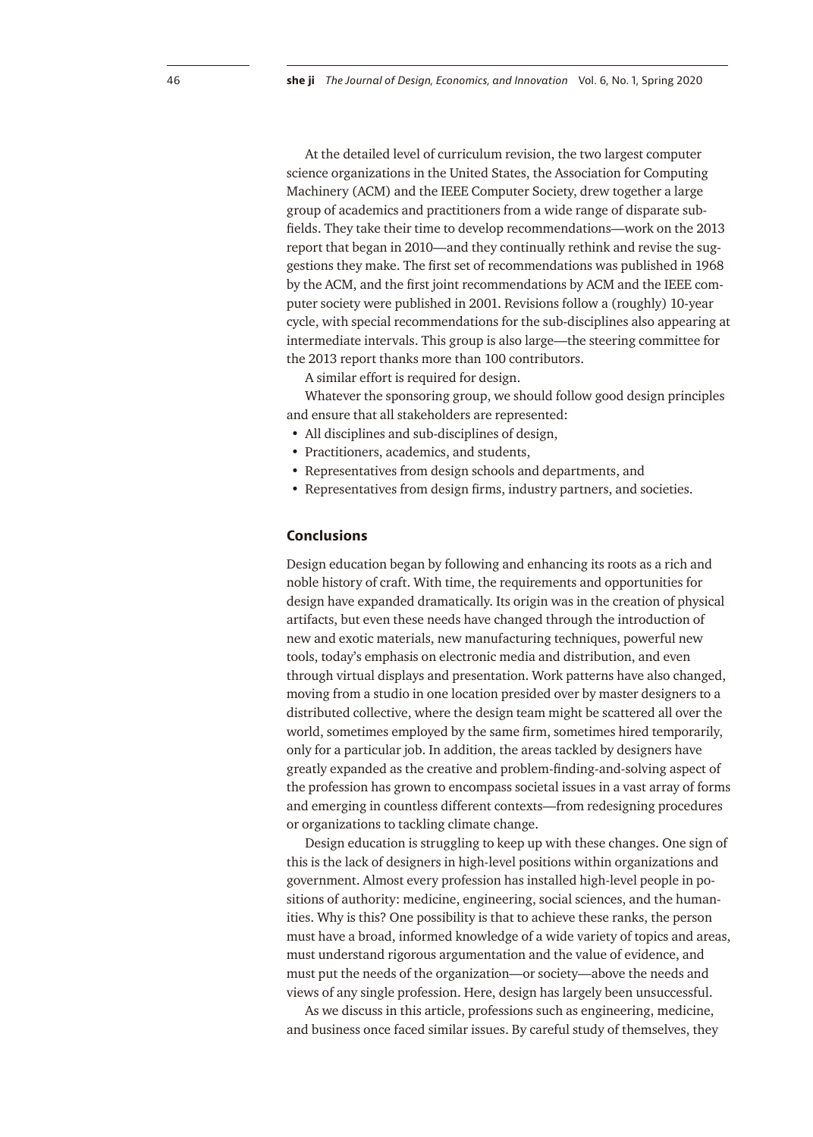At the detailed level of curriculum revision, the two largest computer science organizations in the United States, the Association for Computing Machinery (ACM) and the IEEE Computer Society, drew together a large group of academics and practitioners from a wide range of disparate subfields. They take their time to develop recommendations—work on the 2013 report that began in 2010—and they continually rethink and revise the suggestions they make. The first set of recommendations was published in 1968 by the ACM, and the first joint recommendations by ACM and the IEEE computer society were published in 2001. Revisions follow a (roughly) 10-year cycle, with special recommendations for the sub-disciplines also appearing at intermediate intervals. This group is also large—the steering committee for the 2013 report thanks more than 100 contributors.

A similar effort is required for design.

Whatever the sponsoring group, we should follow good design principles and ensure that all stakeholders are represented:

- All disciplines and sub-disciplines of design,
- Practitioners, academics, and students,
- Representatives from design schools and departments, and
- Representatives from design firms, industry partners, and societies.

# **Conclusions**

Design education began by following and enhancing its roots as a rich and noble history of craft. With time, the requirements and opportunities for design have expanded dramatically. Its origin was in the creation of physical artifacts, but even these needs have changed through the introduction of new and exotic materials, new manufacturing techniques, powerful new tools, today's emphasis on electronic media and distribution, and even through virtual displays and presentation. Work patterns have also changed, moving from a studio in one location presided over by master designers to a distributed collective, where the design team might be scattered all over the world, sometimes employed by the same firm, sometimes hired temporarily, only for a particular job. In addition, the areas tackled by designers have greatly expanded as the creative and problem-finding-and-solving aspect of the profession has grown to encompass societal issues in a vast array of forms and emerging in countless different contexts—from redesigning procedures or organizations to tackling climate change.

Design education is struggling to keep up with these changes. One sign of this is the lack of designers in high-level positions within organizations and government. Almost every profession has installed high-level people in positions of authority: medicine, engineering, social sciences, and the humanities. Why is this? One possibility is that to achieve these ranks, the person must have a broad, informed knowledge of a wide variety of topics and areas, must understand rigorous argumentation and the value of evidence, and must put the needs of the organization—or society—above the needs and views of any single profession. Here, design has largely been unsuccessful.

As we discuss in this article, professions such as engineering, medicine, and business once faced similar issues. By careful study of themselves, they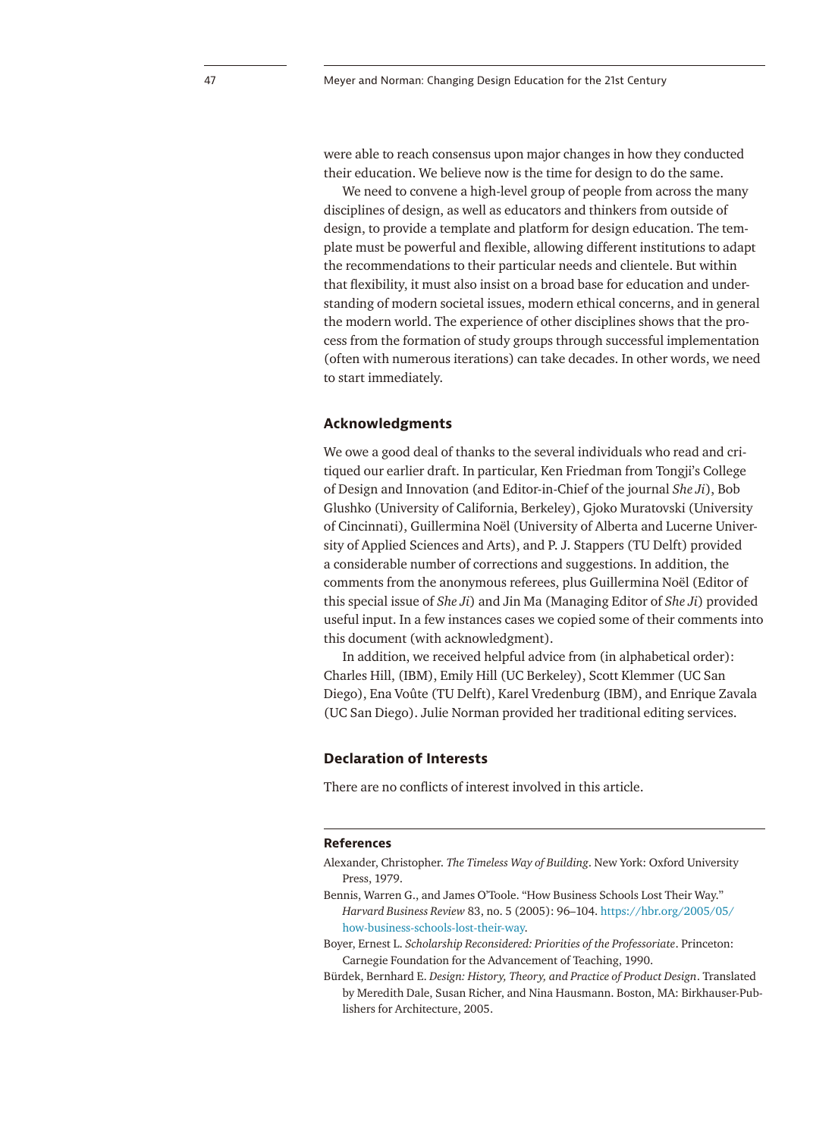were able to reach consensus upon major changes in how they conducted their education. We believe now is the time for design to do the same.

We need to convene a high-level group of people from across the many disciplines of design, as well as educators and thinkers from outside of design, to provide a template and platform for design education. The template must be powerful and flexible, allowing different institutions to adapt the recommendations to their particular needs and clientele. But within that flexibility, it must also insist on a broad base for education and understanding of modern societal issues, modern ethical concerns, and in general the modern world. The experience of other disciplines shows that the process from the formation of study groups through successful implementation (often with numerous iterations) can take decades. In other words, we need to start immediately.

## **Acknowledgments**

We owe a good deal of thanks to the several individuals who read and critiqued our earlier draft. In particular, Ken Friedman from Tongji's College of Design and Innovation (and Editor-in-Chief of the journal *She Ji*), Bob Glushko (University of California, Berkeley), Gjoko Muratovski (University of Cincinnati), Guillermina Noël (University of Alberta and Lucerne University of Applied Sciences and Arts), and P. J. Stappers (TU Delft) provided a considerable number of corrections and suggestions. In addition, the comments from the anonymous referees, plus Guillermina Noël (Editor of this special issue of *She Ji*) and Jin Ma (Managing Editor of *She Ji*) provided useful input. In a few instances cases we copied some of their comments into this document (with acknowledgment).

In addition, we received helpful advice from (in alphabetical order): Charles Hill, (IBM), Emily Hill (UC Berkeley), Scott Klemmer (UC San Diego), Ena Voûte (TU Delft), Karel Vredenburg (IBM), and Enrique Zavala (UC San Diego). Julie Norman provided her traditional editing services.

## **Declaration of Interests**

There are no conflicts of interest involved in this article.

#### **References**

- Alexander, Christopher. *The Timeless Way of Building*. New York: Oxford University Press, 1979.
- Bennis, Warren G., and James O'Toole. "How Business Schools Lost Their Way." *Harvard Business Review* 83, no. 5 (2005): 96–104. [https://hbr.org/2005/05/](https://hbr.org/2005/05/how-business-schools-lost-their-way) [how-business-schools-lost-their-way](https://hbr.org/2005/05/how-business-schools-lost-their-way).
- Boyer, Ernest L. *Scholarship Reconsidered: Priorities of the Professoriate*. Princeton: Carnegie Foundation for the Advancement of Teaching, 1990.
- Bürdek, Bernhard E. *Design: History, Theory, and Practice of Product Design*. Translated by Meredith Dale, Susan Richer, and Nina Hausmann. Boston, MA: Birkhauser-Publishers for Architecture, 2005.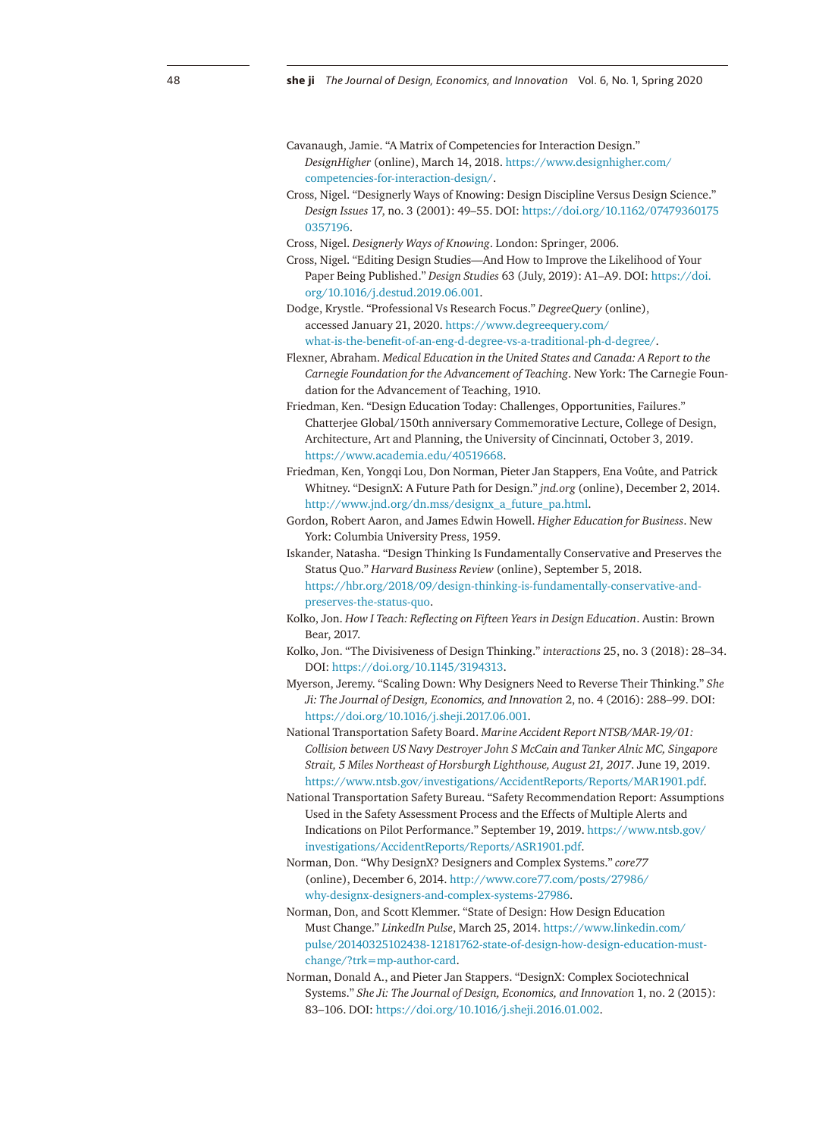- Cavanaugh, Jamie. "A Matrix of Competencies for Interaction Design." *DesignHigher* (online), March 14, 2018. [https://www.designhigher.com/](https://www.designhigher.com/competencies-for-interaction-design/) [competencies-for-interaction-design/](https://www.designhigher.com/competencies-for-interaction-design/).
- Cross, Nigel. "Designerly Ways of Knowing: Design Discipline Versus Design Science." *Design Issues* 17, no. 3 (2001): 49–55. DOI: [https://doi.org/10.1162/07479360175](https://doi.org/10.1162/074793601750357196) [0357196.](https://doi.org/10.1162/074793601750357196)
- Cross, Nigel. *Designerly Ways of Knowing*. London: Springer, 2006.
- Cross, Nigel. "Editing Design Studies—And How to Improve the Likelihood of Your Paper Being Published." *Design Studies* 63 (July, 2019): A1–A9. DOI: [https://doi.](https://doi.org/10.1016/j.destud.2019.06.001) [org/10.1016/j.destud.2019.06.001.](https://doi.org/10.1016/j.destud.2019.06.001)
- Dodge, Krystle. "Professional Vs Research Focus." *DegreeQuery* (online), accessed January 21, 2020. [https://www.degreequery.com/](https://www.degreequery.com/what-is-the-benefit-of-an-eng-d-degree-vs-a-traditional-ph-d-degree/) [what-is-the-benefit-of-an-eng-d-degree-vs-a-traditional-ph-d-degree/.](https://www.degreequery.com/what-is-the-benefit-of-an-eng-d-degree-vs-a-traditional-ph-d-degree/)

Flexner, Abraham. *Medical Education in the United States and Canada: A Report to the Carnegie Foundation for the Advancement of Teaching*. New York: The Carnegie Foundation for the Advancement of Teaching, 1910.

- Friedman, Ken. "Design Education Today: Challenges, Opportunities, Failures." Chatterjee Global/150th anniversary Commemorative Lecture, College of Design, Architecture, Art and Planning, the University of Cincinnati, October 3, 2019. <https://www.academia.edu/40519668>.
- Friedman, Ken, Yongqi Lou, Don Norman, Pieter Jan Stappers, Ena Voûte, and Patrick Whitney. "DesignX: A Future Path for Design." *jnd.org* (online), December 2, 2014. [http://www.jnd.org/dn.mss/designx\\_a\\_future\\_pa.html](http://www.jnd.org/dn.mss/designx_a_future_pa.html).
- Gordon, Robert Aaron, and James Edwin Howell. *Higher Education for Business*. New York: Columbia University Press, 1959.

Iskander, Natasha. "Design Thinking Is Fundamentally Conservative and Preserves the Status Quo." *Harvard Business Review* (online), September 5, 2018. [https://hbr.org/2018/09/design-thinking-is-fundamentally-conservative-and](https://hbr.org/2018/09/design-thinking-is-fundamentally-conservative-and-preserves-the-status-quo)[preserves-the-status-quo](https://hbr.org/2018/09/design-thinking-is-fundamentally-conservative-and-preserves-the-status-quo).

- Kolko, Jon. *How I Teach: Reflecting on Fifteen Years in Design Education*. Austin: Brown Bear, 2017.
- Kolko, Jon. "The Divisiveness of Design Thinking." *interactions* 25, no. 3 (2018): 28–34. DOI: <https://doi.org/10.1145/3194313>.
- Myerson, Jeremy. "Scaling Down: Why Designers Need to Reverse Their Thinking." *She Ji: The Journal of Design, Economics, and Innovation* 2, no. 4 (2016): 288–99. DOI: <https://doi.org/10.1016/j.sheji.2017.06.001>.
- National Transportation Safety Board. *Marine Accident Report NTSB/MAR-19/01: Collision between US Navy Destroyer John S McCain and Tanker Alnic MC, Singapore Strait, 5 Miles Northeast of Horsburgh Lighthouse, August 21, 2017*. June 19, 2019. [https://www.ntsb.gov/investigations/AccidentReports/Reports/MAR1901.pdf.](https://www.ntsb.gov/investigations/AccidentReports/Reports/MAR1901.pdf)
- National Transportation Safety Bureau. "Safety Recommendation Report: Assumptions Used in the Safety Assessment Process and the Effects of Multiple Alerts and Indications on Pilot Performance." September 19, 2019. [https://www.ntsb.gov/](https://www.ntsb.gov/investigations/AccidentReports/Reports/ASR1901.pdf) [investigations/AccidentReports/Reports/ASR1901.pdf](https://www.ntsb.gov/investigations/AccidentReports/Reports/ASR1901.pdf).
- Norman, Don. "Why DesignX? Designers and Complex Systems." *core77* (online), December 6, 2014. [http://www.core77.com/posts/27986/](http://www.core77.com/posts/27986/why-designx-designers-and-complex-systems-27986) [why-designx-designers-and-complex-systems-27986](http://www.core77.com/posts/27986/why-designx-designers-and-complex-systems-27986).
- Norman, Don, and Scott Klemmer. "State of Design: How Design Education Must Change." *LinkedIn Pulse*, March 25, 2014. [https://www.linkedin.com/](https://www.linkedin.com/pulse/20140325102438-12181762-state-of-design-how-design-education-must-change/?trk=mp-author-card) [pulse/20140325102438-12181762-state-of-design-how-design-education-must](https://www.linkedin.com/pulse/20140325102438-12181762-state-of-design-how-design-education-must-change/?trk=mp-author-card)[change/?trk=mp-author-card](https://www.linkedin.com/pulse/20140325102438-12181762-state-of-design-how-design-education-must-change/?trk=mp-author-card).
- Norman, Donald A., and Pieter Jan Stappers. "DesignX: Complex Sociotechnical Systems." *She Ji: The Journal of Design, Economics, and Innovation* 1, no. 2 (2015): 83–106. DOI:<https://doi.org/10.1016/j.sheji.2016.01.002>.